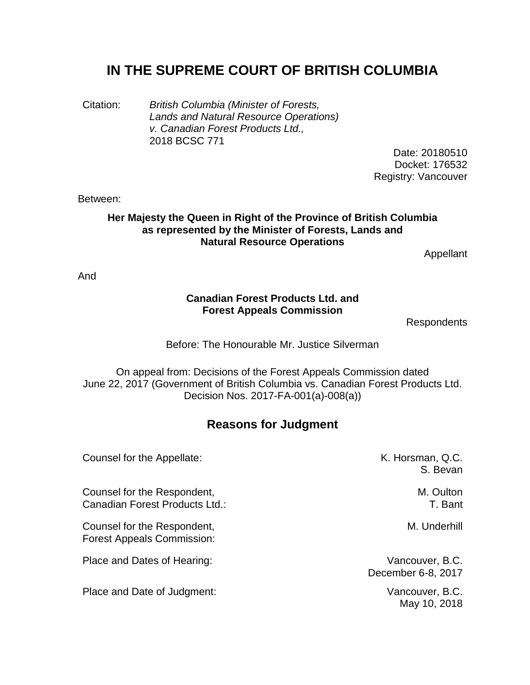# **IN THE SUPREME COURT OF BRITISH COLUMBIA**

Citation: *British Columbia (Minister of Forests, Lands and Natural Resource Operations) v. Canadian Forest Products Ltd.,* 2018 BCSC 771

Date: 20180510 Docket: 176532 Registry: Vancouver

Between:

### **Her Majesty the Queen in Right of the Province of British Columbia as represented by the Minister of Forests, Lands and Natural Resource Operations**

Appellant

And

## **Canadian Forest Products Ltd. and Forest Appeals Commission**

**Respondents** 

Before: The Honourable Mr. Justice Silverman

On appeal from: Decisions of the Forest Appeals Commission dated June 22, 2017 (Government of British Columbia vs. Canadian Forest Products Ltd. Decision Nos. 2017-FA-001(a)-008(a))

# **Reasons for Judgment**

Counsel for the Appellate: K. Horsman, Q.C. S. Bevan

> M. Oulton T. Bant

M. Underhill

December 6-8, 2017

May 10, 2018

Counsel for the Respondent, Canadian Forest Products Ltd.:

Counsel for the Respondent, Forest Appeals Commission:

Place and Dates of Hearing: Vancouver, B.C.

Place and Date of Judgment: Vancouver, B.C.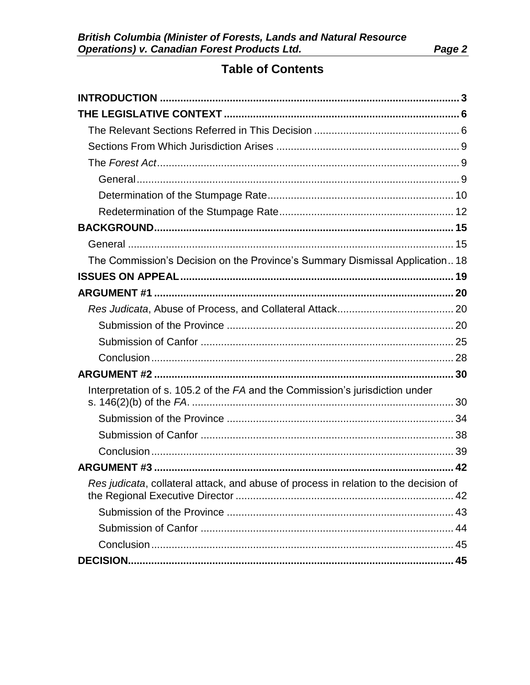# **Table of Contents**

| The Commission's Decision on the Province's Summary Dismissal Application 18         |
|--------------------------------------------------------------------------------------|
|                                                                                      |
|                                                                                      |
|                                                                                      |
|                                                                                      |
|                                                                                      |
|                                                                                      |
|                                                                                      |
| Interpretation of s. 105.2 of the FA and the Commission's jurisdiction under         |
|                                                                                      |
|                                                                                      |
|                                                                                      |
|                                                                                      |
| Res judicata, collateral attack, and abuse of process in relation to the decision of |
|                                                                                      |
|                                                                                      |
|                                                                                      |
|                                                                                      |
|                                                                                      |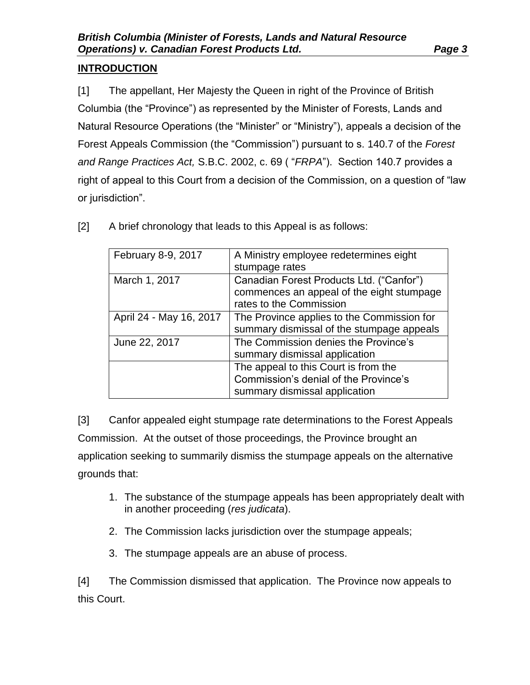# <span id="page-2-0"></span>**INTRODUCTION**

[1] The appellant, Her Majesty the Queen in right of the Province of British Columbia (the "Province") as represented by the Minister of Forests, Lands and Natural Resource Operations (the "Minister" or "Ministry"), appeals a decision of the Forest Appeals Commission (the "Commission") pursuant to s. 140.7 of the *Forest and Range Practices Act,* S.B.C. 2002, c. 69 ( "*FRPA*"). Section 140.7 provides a right of appeal to this Court from a decision of the Commission, on a question of "law or jurisdiction".

| February 8-9, 2017      | A Ministry employee redetermines eight<br>stumpage rates                                                         |
|-------------------------|------------------------------------------------------------------------------------------------------------------|
| March 1, 2017           | Canadian Forest Products Ltd. ("Canfor")<br>commences an appeal of the eight stumpage<br>rates to the Commission |
| April 24 - May 16, 2017 | The Province applies to the Commission for<br>summary dismissal of the stumpage appeals                          |
| June 22, 2017           | The Commission denies the Province's<br>summary dismissal application                                            |
|                         | The appeal to this Court is from the<br>Commission's denial of the Province's<br>summary dismissal application   |

[2] A brief chronology that leads to this Appeal is as follows:

[3] Canfor appealed eight stumpage rate determinations to the Forest Appeals Commission. At the outset of those proceedings, the Province brought an application seeking to summarily dismiss the stumpage appeals on the alternative grounds that:

- 1. The substance of the stumpage appeals has been appropriately dealt with in another proceeding (*res judicata*).
- 2. The Commission lacks jurisdiction over the stumpage appeals;
- 3. The stumpage appeals are an abuse of process.

[4] The Commission dismissed that application. The Province now appeals to this Court.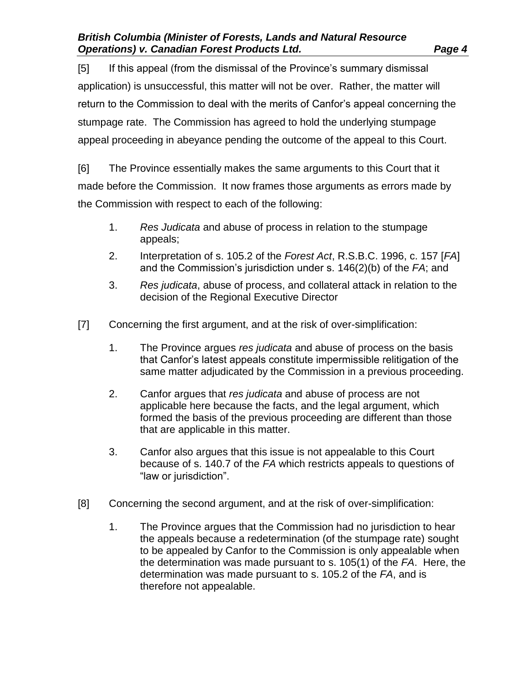[5] If this appeal (from the dismissal of the Province's summary dismissal application) is unsuccessful, this matter will not be over. Rather, the matter will return to the Commission to deal with the merits of Canfor's appeal concerning the stumpage rate. The Commission has agreed to hold the underlying stumpage appeal proceeding in abeyance pending the outcome of the appeal to this Court.

[6] The Province essentially makes the same arguments to this Court that it made before the Commission. It now frames those arguments as errors made by the Commission with respect to each of the following:

- 1. *Res Judicata* and abuse of process in relation to the stumpage appeals;
- 2. Interpretation of s. 105.2 of the *Forest Act*, R.S.B.C. 1996, c. 157 [*FA*] and the Commission's jurisdiction under s. 146(2)(b) of the *FA*; and
- 3. *Res judicata*, abuse of process, and collateral attack in relation to the decision of the Regional Executive Director
- [7] Concerning the first argument, and at the risk of over-simplification:
	- 1. The Province argues *res judicata* and abuse of process on the basis that Canfor's latest appeals constitute impermissible relitigation of the same matter adjudicated by the Commission in a previous proceeding.
	- 2. Canfor argues that *res judicata* and abuse of process are not applicable here because the facts, and the legal argument, which formed the basis of the previous proceeding are different than those that are applicable in this matter.
	- 3. Canfor also argues that this issue is not appealable to this Court because of s. 140.7 of the *FA* which restricts appeals to questions of "law or jurisdiction".
- [8] Concerning the second argument, and at the risk of over-simplification:
	- 1. The Province argues that the Commission had no jurisdiction to hear the appeals because a redetermination (of the stumpage rate) sought to be appealed by Canfor to the Commission is only appealable when the determination was made pursuant to s. 105(1) of the *FA*. Here, the determination was made pursuant to s. 105.2 of the *FA*, and is therefore not appealable.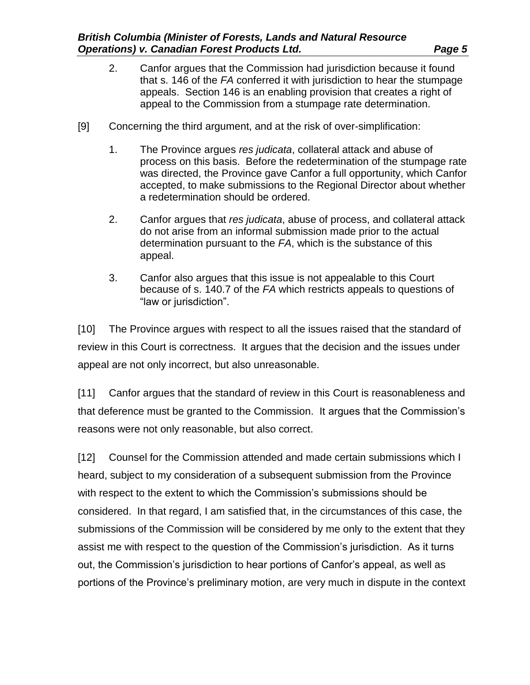- 2. Canfor argues that the Commission had jurisdiction because it found that s. 146 of the *FA* conferred it with jurisdiction to hear the stumpage appeals. Section 146 is an enabling provision that creates a right of appeal to the Commission from a stumpage rate determination.
- [9] Concerning the third argument, and at the risk of over-simplification:
	- 1. The Province argues *res judicata*, collateral attack and abuse of process on this basis. Before the redetermination of the stumpage rate was directed, the Province gave Canfor a full opportunity, which Canfor accepted, to make submissions to the Regional Director about whether a redetermination should be ordered.
	- 2. Canfor argues that *res judicata*, abuse of process, and collateral attack do not arise from an informal submission made prior to the actual determination pursuant to the *FA*, which is the substance of this appeal.
	- 3. Canfor also argues that this issue is not appealable to this Court because of s. 140.7 of the *FA* which restricts appeals to questions of "law or jurisdiction".

[10] The Province argues with respect to all the issues raised that the standard of review in this Court is correctness. It argues that the decision and the issues under appeal are not only incorrect, but also unreasonable.

[11] Canfor argues that the standard of review in this Court is reasonableness and that deference must be granted to the Commission. It argues that the Commission's reasons were not only reasonable, but also correct.

[12] Counsel for the Commission attended and made certain submissions which I heard, subject to my consideration of a subsequent submission from the Province with respect to the extent to which the Commission's submissions should be considered. In that regard, I am satisfied that, in the circumstances of this case, the submissions of the Commission will be considered by me only to the extent that they assist me with respect to the question of the Commission's jurisdiction. As it turns out, the Commission's jurisdiction to hear portions of Canfor's appeal, as well as portions of the Province's preliminary motion, are very much in dispute in the context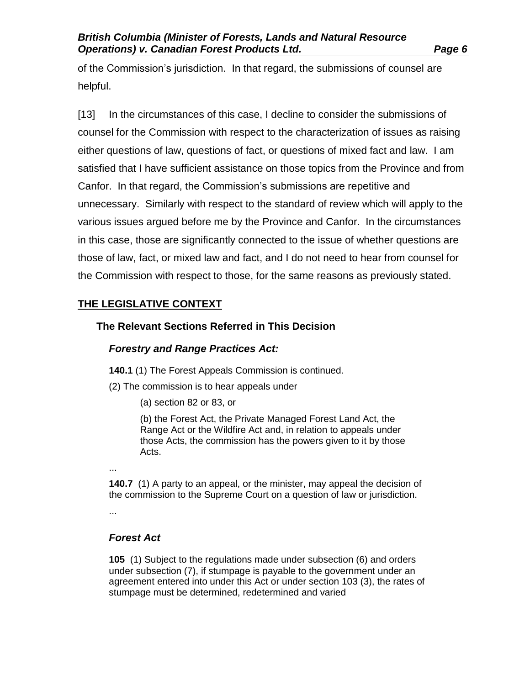of the Commission's jurisdiction. In that regard, the submissions of counsel are helpful.

[13] In the circumstances of this case, I decline to consider the submissions of counsel for the Commission with respect to the characterization of issues as raising either questions of law, questions of fact, or questions of mixed fact and law. I am satisfied that I have sufficient assistance on those topics from the Province and from Canfor. In that regard, the Commission's submissions are repetitive and unnecessary. Similarly with respect to the standard of review which will apply to the various issues argued before me by the Province and Canfor. In the circumstances in this case, those are significantly connected to the issue of whether questions are those of law, fact, or mixed law and fact, and I do not need to hear from counsel for the Commission with respect to those, for the same reasons as previously stated.

### <span id="page-5-0"></span>**THE LEGISLATIVE CONTEXT**

### <span id="page-5-1"></span>**The Relevant Sections Referred in This Decision**

#### *Forestry and Range Practices Act:*

**140.1** (1) The Forest Appeals Commission is continued.

(2) The commission is to hear appeals under

(a) section 82 or 83, or

(b) the Forest Act, the Private Managed Forest Land Act, the Range Act or the Wildfire Act and, in relation to appeals under those Acts, the commission has the powers given to it by those Acts.

...

**140.7** (1) A party to an appeal, or the minister, may appeal the decision of the commission to the Supreme Court on a question of law or jurisdiction.

...

### *Forest Act*

**105** (1) Subject to the regulations made under subsection (6) and orders under subsection (7), if stumpage is payable to the government under an agreement entered into under this Act or under section 103 (3), the rates of stumpage must be determined, redetermined and varied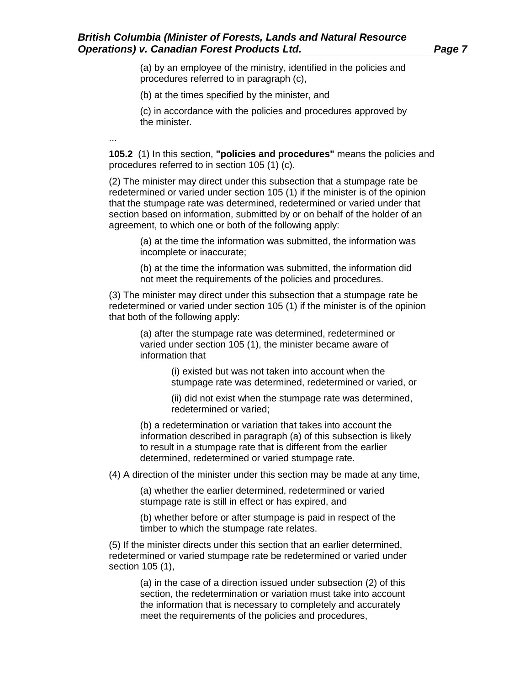(a) by an employee of the ministry, identified in the policies and procedures referred to in paragraph (c),

(b) at the times specified by the minister, and

(c) in accordance with the policies and procedures approved by the minister.

...

**105.2** (1) In this section, **"policies and procedures"** means the policies and procedures referred to in section 105 (1) (c).

(2) The minister may direct under this subsection that a stumpage rate be redetermined or varied under section 105 (1) if the minister is of the opinion that the stumpage rate was determined, redetermined or varied under that section based on information, submitted by or on behalf of the holder of an agreement, to which one or both of the following apply:

(a) at the time the information was submitted, the information was incomplete or inaccurate;

(b) at the time the information was submitted, the information did not meet the requirements of the policies and procedures.

(3) The minister may direct under this subsection that a stumpage rate be redetermined or varied under section 105 (1) if the minister is of the opinion that both of the following apply:

(a) after the stumpage rate was determined, redetermined or varied under section 105 (1), the minister became aware of information that

> (i) existed but was not taken into account when the stumpage rate was determined, redetermined or varied, or

(ii) did not exist when the stumpage rate was determined, redetermined or varied;

(b) a redetermination or variation that takes into account the information described in paragraph (a) of this subsection is likely to result in a stumpage rate that is different from the earlier determined, redetermined or varied stumpage rate.

(4) A direction of the minister under this section may be made at any time,

(a) whether the earlier determined, redetermined or varied stumpage rate is still in effect or has expired, and

(b) whether before or after stumpage is paid in respect of the timber to which the stumpage rate relates.

(5) If the minister directs under this section that an earlier determined, redetermined or varied stumpage rate be redetermined or varied under section 105 (1),

> (a) in the case of a direction issued under subsection (2) of this section, the redetermination or variation must take into account the information that is necessary to completely and accurately meet the requirements of the policies and procedures,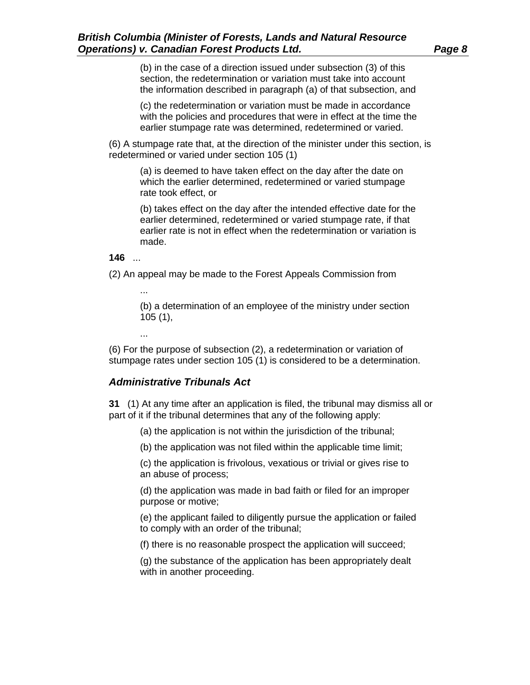(b) in the case of a direction issued under subsection (3) of this section, the redetermination or variation must take into account the information described in paragraph (a) of that subsection, and

(c) the redetermination or variation must be made in accordance with the policies and procedures that were in effect at the time the earlier stumpage rate was determined, redetermined or varied.

(6) A stumpage rate that, at the direction of the minister under this section, is redetermined or varied under section 105 (1)

(a) is deemed to have taken effect on the day after the date on which the earlier determined, redetermined or varied stumpage rate took effect, or

(b) takes effect on the day after the intended effective date for the earlier determined, redetermined or varied stumpage rate, if that earlier rate is not in effect when the redetermination or variation is made.

#### **146** ...

(2) An appeal may be made to the Forest Appeals Commission from

...

(b) a determination of an employee of the ministry under section 105 (1),

...

(6) For the purpose of subsection (2), a redetermination or variation of stumpage rates under section 105 (1) is considered to be a determination.

### *Administrative Tribunals Act*

**31** (1) At any time after an application is filed, the tribunal may dismiss all or part of it if the tribunal determines that any of the following apply:

(a) the application is not within the jurisdiction of the tribunal;

(b) the application was not filed within the applicable time limit;

(c) the application is frivolous, vexatious or trivial or gives rise to an abuse of process;

(d) the application was made in bad faith or filed for an improper purpose or motive;

(e) the applicant failed to diligently pursue the application or failed to comply with an order of the tribunal;

(f) there is no reasonable prospect the application will succeed;

(g) the substance of the application has been appropriately dealt with in another proceeding.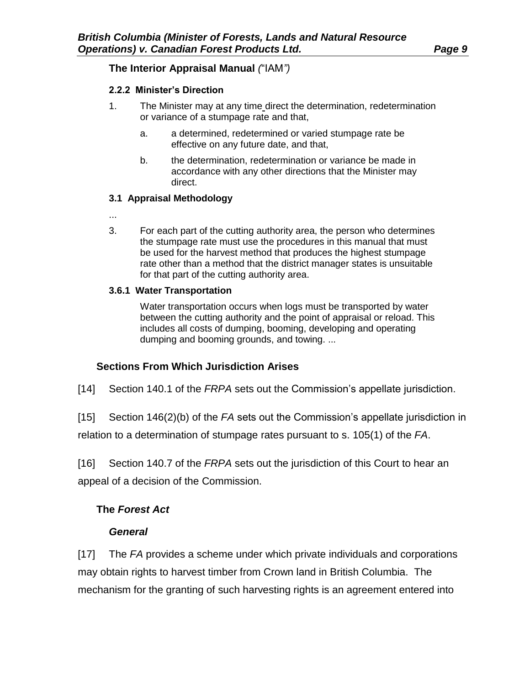#### **The Interior Appraisal Manual** *(*"IAM*")*

#### **2.2.2 Minister's Direction**

- 1. The Minister may at any time direct the determination, redetermination or variance of a stumpage rate and that,
	- a. a determined, redetermined or varied stumpage rate be effective on any future date, and that,
	- b. the determination, redetermination or variance be made in accordance with any other directions that the Minister may direct.

#### **3.1 Appraisal Methodology**

- ...
- 3. For each part of the cutting authority area, the person who determines the stumpage rate must use the procedures in this manual that must be used for the harvest method that produces the highest stumpage rate other than a method that the district manager states is unsuitable for that part of the cutting authority area.

#### **3.6.1 Water Transportation**

Water transportation occurs when logs must be transported by water between the cutting authority and the point of appraisal or reload. This includes all costs of dumping, booming, developing and operating dumping and booming grounds, and towing. ...

#### <span id="page-8-0"></span>**Sections From Which Jurisdiction Arises**

[14] Section 140.1 of the *FRPA* sets out the Commission's appellate jurisdiction.

[15] Section 146(2)(b) of the *FA* sets out the Commission's appellate jurisdiction in relation to a determination of stumpage rates pursuant to s. 105(1) of the *FA*.

[16] Section 140.7 of the *FRPA* sets out the jurisdiction of this Court to hear an appeal of a decision of the Commission.

### <span id="page-8-1"></span>**The** *Forest Act*

#### *General*

<span id="page-8-2"></span>[17] The *FA* provides a scheme under which private individuals and corporations may obtain rights to harvest timber from Crown land in British Columbia. The mechanism for the granting of such harvesting rights is an agreement entered into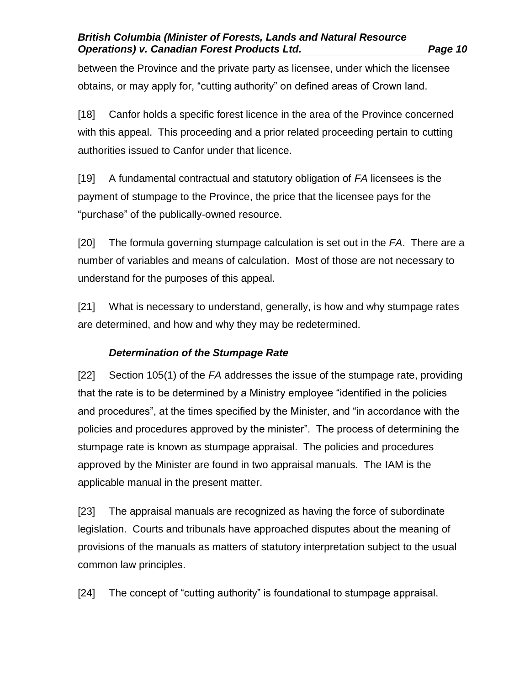between the Province and the private party as licensee, under which the licensee obtains, or may apply for, "cutting authority" on defined areas of Crown land.

[18] Canfor holds a specific forest licence in the area of the Province concerned with this appeal. This proceeding and a prior related proceeding pertain to cutting authorities issued to Canfor under that licence.

[19] A fundamental contractual and statutory obligation of *FA* licensees is the payment of stumpage to the Province, the price that the licensee pays for the "purchase" of the publically-owned resource.

[20] The formula governing stumpage calculation is set out in the *FA*. There are a number of variables and means of calculation. Most of those are not necessary to understand for the purposes of this appeal.

[21] What is necessary to understand, generally, is how and why stumpage rates are determined, and how and why they may be redetermined.

# *Determination of the Stumpage Rate*

<span id="page-9-0"></span>[22] Section 105(1) of the *FA* addresses the issue of the stumpage rate, providing that the rate is to be determined by a Ministry employee "identified in the policies and procedures", at the times specified by the Minister, and "in accordance with the policies and procedures approved by the minister". The process of determining the stumpage rate is known as stumpage appraisal. The policies and procedures approved by the Minister are found in two appraisal manuals. The IAM is the applicable manual in the present matter.

[23] The appraisal manuals are recognized as having the force of subordinate legislation. Courts and tribunals have approached disputes about the meaning of provisions of the manuals as matters of statutory interpretation subject to the usual common law principles.

[24] The concept of "cutting authority" is foundational to stumpage appraisal.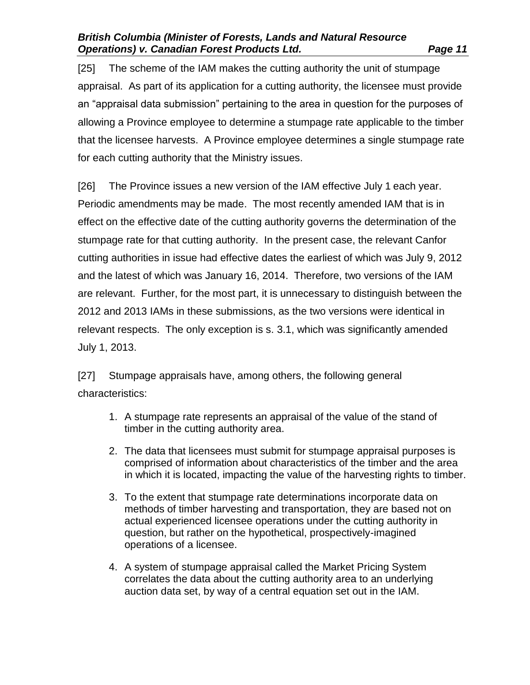[25] The scheme of the IAM makes the cutting authority the unit of stumpage appraisal. As part of its application for a cutting authority, the licensee must provide an "appraisal data submission" pertaining to the area in question for the purposes of allowing a Province employee to determine a stumpage rate applicable to the timber that the licensee harvests. A Province employee determines a single stumpage rate for each cutting authority that the Ministry issues.

[26] The Province issues a new version of the IAM effective July 1 each year. Periodic amendments may be made. The most recently amended IAM that is in effect on the effective date of the cutting authority governs the determination of the stumpage rate for that cutting authority. In the present case, the relevant Canfor cutting authorities in issue had effective dates the earliest of which was July 9, 2012 and the latest of which was January 16, 2014. Therefore, two versions of the IAM are relevant. Further, for the most part, it is unnecessary to distinguish between the 2012 and 2013 IAMs in these submissions, as the two versions were identical in relevant respects. The only exception is s. 3.1, which was significantly amended July 1, 2013.

[27] Stumpage appraisals have, among others, the following general characteristics:

- 1. A stumpage rate represents an appraisal of the value of the stand of timber in the cutting authority area.
- 2. The data that licensees must submit for stumpage appraisal purposes is comprised of information about characteristics of the timber and the area in which it is located, impacting the value of the harvesting rights to timber.
- 3. To the extent that stumpage rate determinations incorporate data on methods of timber harvesting and transportation, they are based not on actual experienced licensee operations under the cutting authority in question, but rather on the hypothetical, prospectively-imagined operations of a licensee.
- 4. A system of stumpage appraisal called the Market Pricing System correlates the data about the cutting authority area to an underlying auction data set, by way of a central equation set out in the IAM.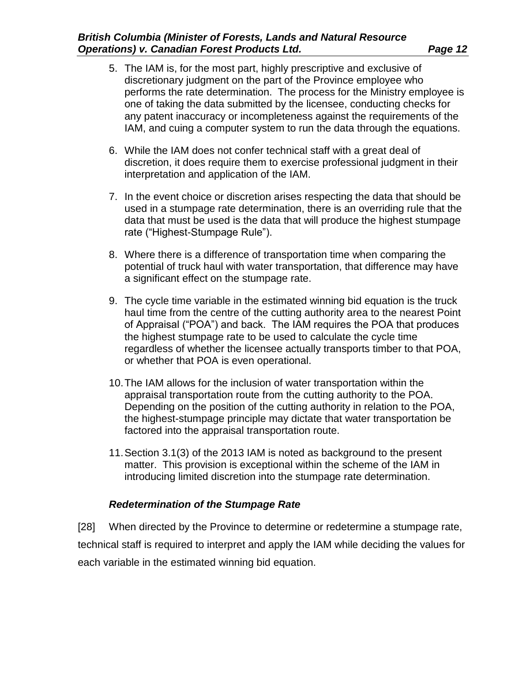- 5. The IAM is, for the most part, highly prescriptive and exclusive of discretionary judgment on the part of the Province employee who performs the rate determination. The process for the Ministry employee is one of taking the data submitted by the licensee, conducting checks for any patent inaccuracy or incompleteness against the requirements of the IAM, and cuing a computer system to run the data through the equations.
- 6. While the IAM does not confer technical staff with a great deal of discretion, it does require them to exercise professional judgment in their interpretation and application of the IAM.
- 7. In the event choice or discretion arises respecting the data that should be used in a stumpage rate determination, there is an overriding rule that the data that must be used is the data that will produce the highest stumpage rate ("Highest-Stumpage Rule").
- 8. Where there is a difference of transportation time when comparing the potential of truck haul with water transportation, that difference may have a significant effect on the stumpage rate.
- 9. The cycle time variable in the estimated winning bid equation is the truck haul time from the centre of the cutting authority area to the nearest Point of Appraisal ("POA") and back. The IAM requires the POA that produces the highest stumpage rate to be used to calculate the cycle time regardless of whether the licensee actually transports timber to that POA, or whether that POA is even operational.
- 10.The IAM allows for the inclusion of water transportation within the appraisal transportation route from the cutting authority to the POA. Depending on the position of the cutting authority in relation to the POA, the highest-stumpage principle may dictate that water transportation be factored into the appraisal transportation route.
- 11.Section 3.1(3) of the 2013 IAM is noted as background to the present matter. This provision is exceptional within the scheme of the IAM in introducing limited discretion into the stumpage rate determination.

### *Redetermination of the Stumpage Rate*

<span id="page-11-0"></span>[28] When directed by the Province to determine or redetermine a stumpage rate, technical staff is required to interpret and apply the IAM while deciding the values for each variable in the estimated winning bid equation.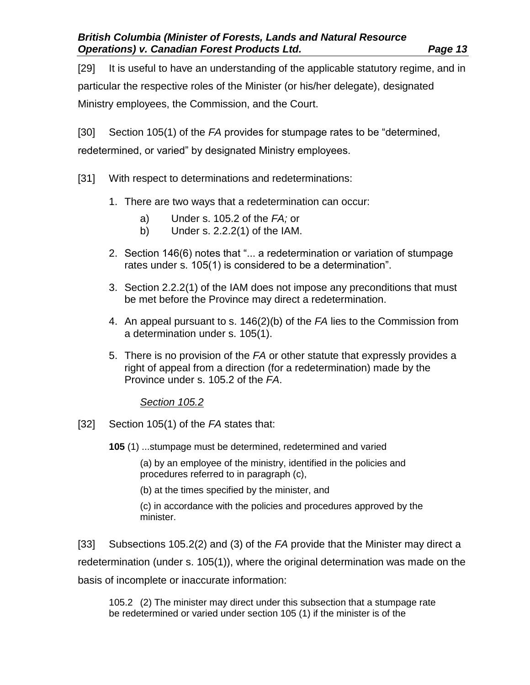[29] It is useful to have an understanding of the applicable statutory regime, and in particular the respective roles of the Minister (or his/her delegate), designated Ministry employees, the Commission, and the Court.

[30] Section 105(1) of the *FA* provides for stumpage rates to be "determined, redetermined, or varied" by designated Ministry employees.

- [31] With respect to determinations and redeterminations:
	- 1. There are two ways that a redetermination can occur:
		- a) Under s. 105.2 of the *FA;* or
		- b) Under s. 2.2.2(1) of the IAM.
	- 2. Section 146(6) notes that "... a redetermination or variation of stumpage rates under s. 105(1) is considered to be a determination".
	- 3. Section 2.2.2(1) of the IAM does not impose any preconditions that must be met before the Province may direct a redetermination.
	- 4. An appeal pursuant to s. 146(2)(b) of the *FA* lies to the Commission from a determination under s. 105(1).
	- 5. There is no provision of the *FA* or other statute that expressly provides a right of appeal from a direction (for a redetermination) made by the Province under s. 105.2 of the *FA*.

*Section 105.2*

- [32] Section 105(1) of the *FA* states that:
	- **105** (1) ...stumpage must be determined, redetermined and varied

(a) by an employee of the ministry, identified in the policies and procedures referred to in paragraph (c),

(b) at the times specified by the minister, and

(c) in accordance with the policies and procedures approved by the minister.

[33] Subsections 105.2(2) and (3) of the *FA* provide that the Minister may direct a redetermination (under s. 105(1)), where the original determination was made on the basis of incomplete or inaccurate information:

105.2 (2) The minister may direct under this subsection that a stumpage rate be redetermined or varied under section 105 (1) if the minister is of the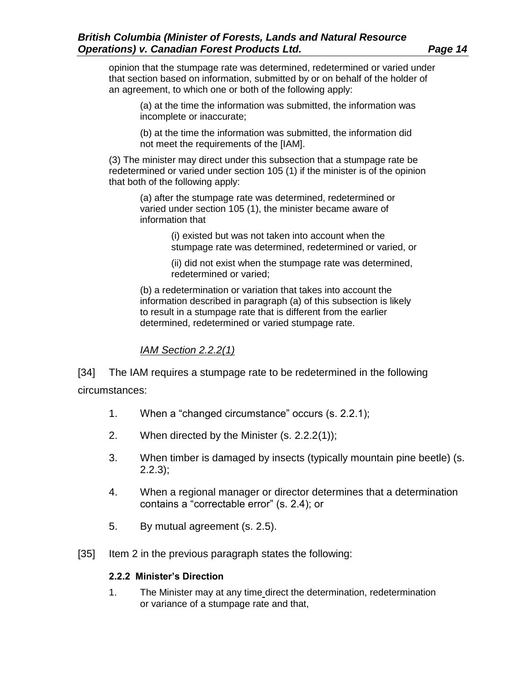opinion that the stumpage rate was determined, redetermined or varied under that section based on information, submitted by or on behalf of the holder of an agreement, to which one or both of the following apply:

(a) at the time the information was submitted, the information was incomplete or inaccurate;

(b) at the time the information was submitted, the information did not meet the requirements of the [IAM].

(3) The minister may direct under this subsection that a stumpage rate be redetermined or varied under section 105 (1) if the minister is of the opinion that both of the following apply:

(a) after the stumpage rate was determined, redetermined or varied under section 105 (1), the minister became aware of information that

> (i) existed but was not taken into account when the stumpage rate was determined, redetermined or varied, or

(ii) did not exist when the stumpage rate was determined, redetermined or varied;

(b) a redetermination or variation that takes into account the information described in paragraph (a) of this subsection is likely to result in a stumpage rate that is different from the earlier determined, redetermined or varied stumpage rate.

## *IAM Section 2.2.2(1)*

[34] The IAM requires a stumpage rate to be redetermined in the following circumstances:

- 1. When a "changed circumstance" occurs (s. 2.2.1);
- 2. When directed by the Minister (s. 2.2.2(1));
- 3. When timber is damaged by insects (typically mountain pine beetle) (s. 2.2.3);
- 4. When a regional manager or director determines that a determination contains a "correctable error" (s. 2.4); or
- 5. By mutual agreement (s. 2.5).
- [35] Item 2 in the previous paragraph states the following:

#### **2.2.2 Minister's Direction**

1. The Minister may at any time direct the determination, redetermination or variance of a stumpage rate and that,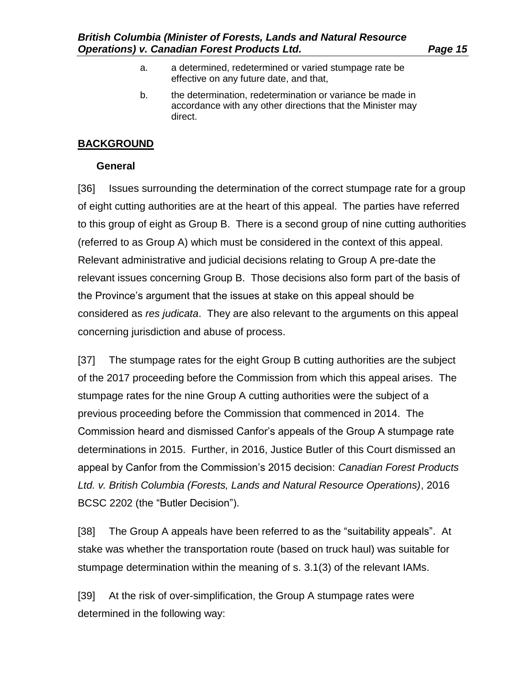- a. a determined, redetermined or varied stumpage rate be effective on any future date, and that,
- b. the determination, redetermination or variance be made in accordance with any other directions that the Minister may direct.

## <span id="page-14-0"></span>**BACKGROUND**

### <span id="page-14-1"></span>**General**

[36] Issues surrounding the determination of the correct stumpage rate for a group of eight cutting authorities are at the heart of this appeal. The parties have referred to this group of eight as Group B. There is a second group of nine cutting authorities (referred to as Group A) which must be considered in the context of this appeal. Relevant administrative and judicial decisions relating to Group A pre-date the relevant issues concerning Group B. Those decisions also form part of the basis of the Province's argument that the issues at stake on this appeal should be considered as *res judicata*. They are also relevant to the arguments on this appeal concerning jurisdiction and abuse of process.

[37] The stumpage rates for the eight Group B cutting authorities are the subject of the 2017 proceeding before the Commission from which this appeal arises. The stumpage rates for the nine Group A cutting authorities were the subject of a previous proceeding before the Commission that commenced in 2014. The Commission heard and dismissed Canfor's appeals of the Group A stumpage rate determinations in 2015. Further, in 2016, Justice Butler of this Court dismissed an appeal by Canfor from the Commission's 2015 decision: *Canadian Forest Products Ltd. v. British Columbia (Forests, Lands and Natural Resource Operations)*, 2016 BCSC 2202 (the "Butler Decision").

[38] The Group A appeals have been referred to as the "suitability appeals". At stake was whether the transportation route (based on truck haul) was suitable for stumpage determination within the meaning of s. 3.1(3) of the relevant IAMs.

[39] At the risk of over-simplification, the Group A stumpage rates were determined in the following way: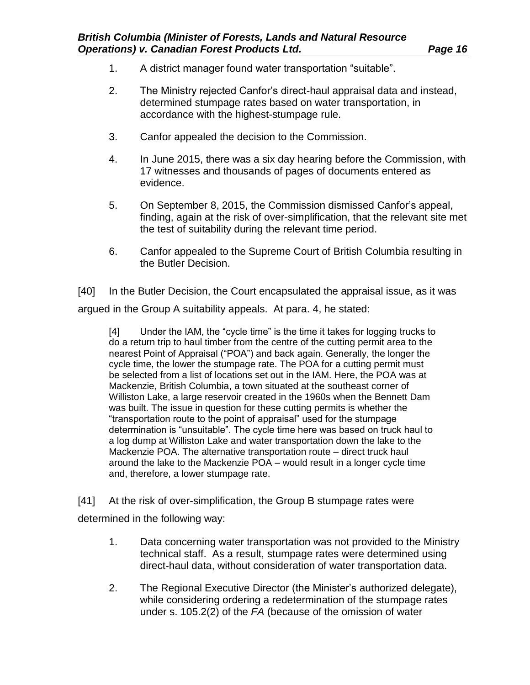- 1. A district manager found water transportation "suitable".
- 2. The Ministry rejected Canfor's direct-haul appraisal data and instead, determined stumpage rates based on water transportation, in accordance with the highest-stumpage rule.
- 3. Canfor appealed the decision to the Commission.
- 4. In June 2015, there was a six day hearing before the Commission, with 17 witnesses and thousands of pages of documents entered as evidence.
- 5. On September 8, 2015, the Commission dismissed Canfor's appeal, finding, again at the risk of over-simplification, that the relevant site met the test of suitability during the relevant time period.
- 6. Canfor appealed to the Supreme Court of British Columbia resulting in the Butler Decision.

[40] In the Butler Decision, the Court encapsulated the appraisal issue, as it was argued in the Group A suitability appeals. At para. 4, he stated:

[4] Under the IAM, the "cycle time" is the time it takes for logging trucks to do a return trip to haul timber from the centre of the cutting permit area to the nearest Point of Appraisal ("POA") and back again. Generally, the longer the cycle time, the lower the stumpage rate. The POA for a cutting permit must be selected from a list of locations set out in the IAM. Here, the POA was at Mackenzie, British Columbia, a town situated at the southeast corner of Williston Lake, a large reservoir created in the 1960s when the Bennett Dam was built. The issue in question for these cutting permits is whether the "transportation route to the point of appraisal" used for the stumpage determination is "unsuitable". The cycle time here was based on truck haul to a log dump at Williston Lake and water transportation down the lake to the Mackenzie POA. The alternative transportation route – direct truck haul around the lake to the Mackenzie POA – would result in a longer cycle time and, therefore, a lower stumpage rate.

[41] At the risk of over-simplification, the Group B stumpage rates were determined in the following way:

- 1. Data concerning water transportation was not provided to the Ministry technical staff. As a result, stumpage rates were determined using direct-haul data, without consideration of water transportation data.
- 2. The Regional Executive Director (the Minister's authorized delegate), while considering ordering a redetermination of the stumpage rates under s. 105.2(2) of the *FA* (because of the omission of water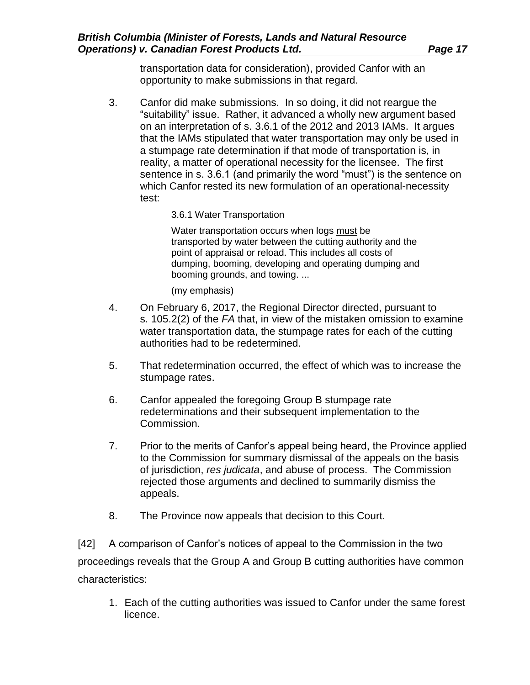transportation data for consideration), provided Canfor with an opportunity to make submissions in that regard.

- 3. Canfor did make submissions. In so doing, it did not reargue the "suitability" issue. Rather, it advanced a wholly new argument based on an interpretation of s. 3.6.1 of the 2012 and 2013 IAMs. It argues that the IAMs stipulated that water transportation may only be used in a stumpage rate determination if that mode of transportation is, in reality, a matter of operational necessity for the licensee. The first sentence in s. 3.6.1 (and primarily the word "must") is the sentence on which Canfor rested its new formulation of an operational-necessity test:
	- 3.6.1 Water Transportation

Water transportation occurs when logs must be transported by water between the cutting authority and the point of appraisal or reload. This includes all costs of dumping, booming, developing and operating dumping and booming grounds, and towing. ...

(my emphasis)

- 4. On February 6, 2017, the Regional Director directed, pursuant to s. 105.2(2) of the *FA* that, in view of the mistaken omission to examine water transportation data, the stumpage rates for each of the cutting authorities had to be redetermined.
- 5. That redetermination occurred, the effect of which was to increase the stumpage rates.
- 6. Canfor appealed the foregoing Group B stumpage rate redeterminations and their subsequent implementation to the Commission.
- 7. Prior to the merits of Canfor's appeal being heard, the Province applied to the Commission for summary dismissal of the appeals on the basis of jurisdiction, *res judicata*, and abuse of process. The Commission rejected those arguments and declined to summarily dismiss the appeals.
- 8. The Province now appeals that decision to this Court.

[42] A comparison of Canfor's notices of appeal to the Commission in the two proceedings reveals that the Group A and Group B cutting authorities have common characteristics:

1. Each of the cutting authorities was issued to Canfor under the same forest licence.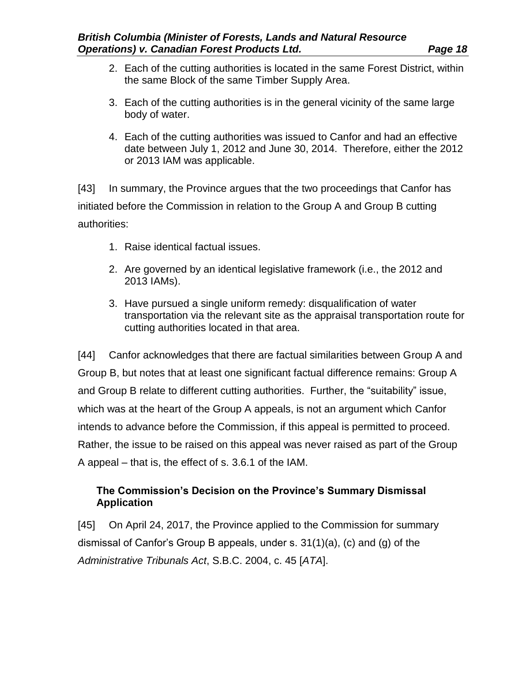- 2. Each of the cutting authorities is located in the same Forest District, within the same Block of the same Timber Supply Area.
- 3. Each of the cutting authorities is in the general vicinity of the same large body of water.
- 4. Each of the cutting authorities was issued to Canfor and had an effective date between July 1, 2012 and June 30, 2014. Therefore, either the 2012 or 2013 IAM was applicable.

[43] In summary, the Province argues that the two proceedings that Canfor has initiated before the Commission in relation to the Group A and Group B cutting authorities:

- 1. Raise identical factual issues.
- 2. Are governed by an identical legislative framework (i.e., the 2012 and 2013 IAMs).
- 3. Have pursued a single uniform remedy: disqualification of water transportation via the relevant site as the appraisal transportation route for cutting authorities located in that area.

[44] Canfor acknowledges that there are factual similarities between Group A and Group B, but notes that at least one significant factual difference remains: Group A and Group B relate to different cutting authorities. Further, the "suitability" issue, which was at the heart of the Group A appeals, is not an argument which Canfor intends to advance before the Commission, if this appeal is permitted to proceed. Rather, the issue to be raised on this appeal was never raised as part of the Group A appeal – that is, the effect of s. 3.6.1 of the IAM.

# <span id="page-17-0"></span>**The Commission's Decision on the Province's Summary Dismissal Application**

[45] On April 24, 2017, the Province applied to the Commission for summary dismissal of Canfor's Group B appeals, under s. 31(1)(a), (c) and (g) of the *Administrative Tribunals Act*, S.B.C. 2004, c. 45 [*ATA*].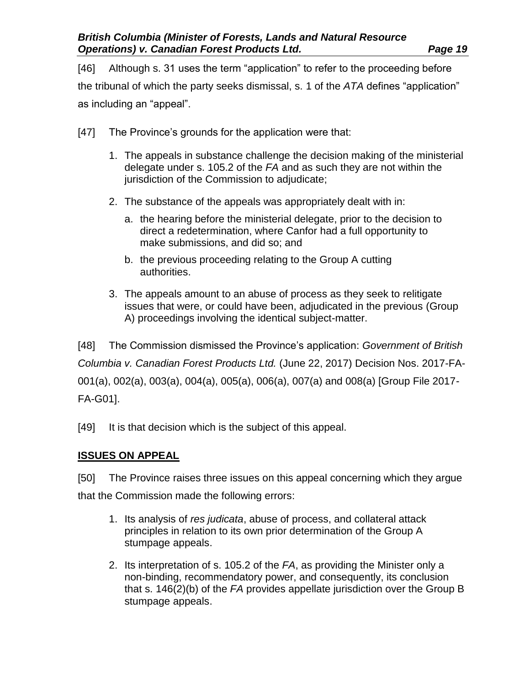[46] Although s. 31 uses the term "application" to refer to the proceeding before the tribunal of which the party seeks dismissal, s. 1 of the *ATA* defines "application" as including an "appeal".

- [47] The Province's grounds for the application were that:
	- 1. The appeals in substance challenge the decision making of the ministerial delegate under s. 105.2 of the *FA* and as such they are not within the jurisdiction of the Commission to adjudicate;
	- 2. The substance of the appeals was appropriately dealt with in:
		- a. the hearing before the ministerial delegate, prior to the decision to direct a redetermination, where Canfor had a full opportunity to make submissions, and did so; and
		- b. the previous proceeding relating to the Group A cutting authorities.
	- 3. The appeals amount to an abuse of process as they seek to relitigate issues that were, or could have been, adjudicated in the previous (Group A) proceedings involving the identical subject-matter.

[48] The Commission dismissed the Province's application: *Government of British Columbia v. Canadian Forest Products Ltd.* (June 22, 2017) Decision Nos. 2017-FA-001(a), 002(a), 003(a), 004(a), 005(a), 006(a), 007(a) and 008(a) [Group File 2017- FA-G01].

[49] It is that decision which is the subject of this appeal.

## <span id="page-18-0"></span>**ISSUES ON APPEAL**

[50] The Province raises three issues on this appeal concerning which they argue that the Commission made the following errors:

- 1. Its analysis of *res judicata*, abuse of process, and collateral attack principles in relation to its own prior determination of the Group A stumpage appeals.
- 2. Its interpretation of s. 105.2 of the *FA*, as providing the Minister only a non-binding, recommendatory power, and consequently, its conclusion that s. 146(2)(b) of the *FA* provides appellate jurisdiction over the Group B stumpage appeals.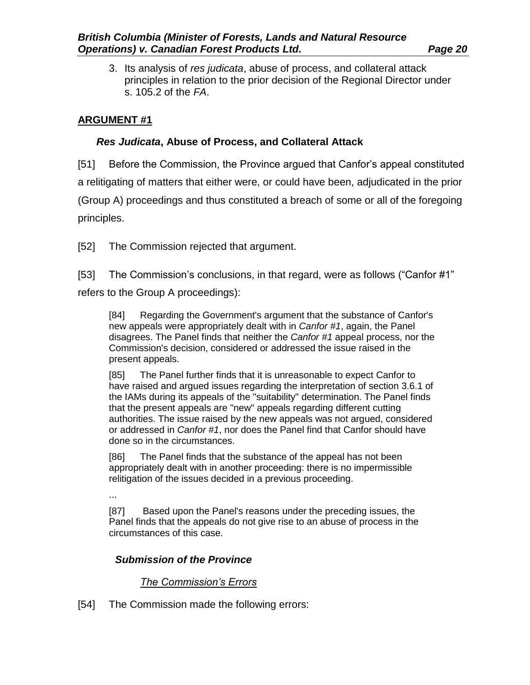3. Its analysis of *res judicata*, abuse of process, and collateral attack principles in relation to the prior decision of the Regional Director under s. 105.2 of the *FA*.

### <span id="page-19-0"></span>**ARGUMENT #1**

### <span id="page-19-1"></span>*Res Judicata***, Abuse of Process, and Collateral Attack**

[51] Before the Commission, the Province argued that Canfor's appeal constituted a relitigating of matters that either were, or could have been, adjudicated in the prior (Group A) proceedings and thus constituted a breach of some or all of the foregoing principles.

[52] The Commission rejected that argument.

[53] The Commission's conclusions, in that regard, were as follows ("Canfor #1" refers to the Group A proceedings):

[84] Regarding the Government's argument that the substance of Canfor's new appeals were appropriately dealt with in *Canfor #1*, again, the Panel disagrees. The Panel finds that neither the *Canfor #1* appeal process, nor the Commission's decision, considered or addressed the issue raised in the present appeals.

[85] The Panel further finds that it is unreasonable to expect Canfor to have raised and argued issues regarding the interpretation of section 3.6.1 of the IAMs during its appeals of the "suitability" determination. The Panel finds that the present appeals are "new" appeals regarding different cutting authorities. The issue raised by the new appeals was not argued, considered or addressed in *Canfor #1*, nor does the Panel find that Canfor should have done so in the circumstances.

[86] The Panel finds that the substance of the appeal has not been appropriately dealt with in another proceeding: there is no impermissible relitigation of the issues decided in a previous proceeding.

...

[87] Based upon the Panel's reasons under the preceding issues, the Panel finds that the appeals do not give rise to an abuse of process in the circumstances of this case.

### <span id="page-19-2"></span>*Submission of the Province*

### *The Commission's Errors*

[54] The Commission made the following errors: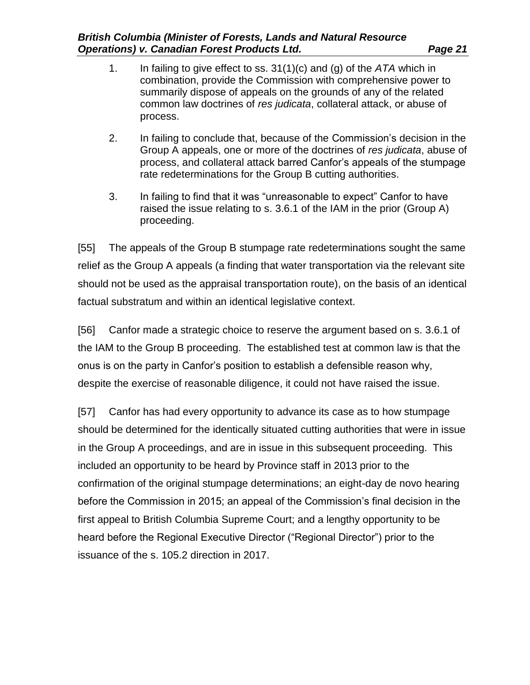- 1. In failing to give effect to ss. 31(1)(c) and (g) of the *ATA* which in combination, provide the Commission with comprehensive power to summarily dispose of appeals on the grounds of any of the related common law doctrines of *res judicata*, collateral attack, or abuse of process.
- 2. In failing to conclude that, because of the Commission's decision in the Group A appeals, one or more of the doctrines of *res judicata*, abuse of process, and collateral attack barred Canfor's appeals of the stumpage rate redeterminations for the Group B cutting authorities.
- 3. In failing to find that it was "unreasonable to expect" Canfor to have raised the issue relating to s. 3.6.1 of the IAM in the prior (Group A) proceeding.

[55] The appeals of the Group B stumpage rate redeterminations sought the same relief as the Group A appeals (a finding that water transportation via the relevant site should not be used as the appraisal transportation route), on the basis of an identical factual substratum and within an identical legislative context.

[56] Canfor made a strategic choice to reserve the argument based on s. 3.6.1 of the IAM to the Group B proceeding. The established test at common law is that the onus is on the party in Canfor's position to establish a defensible reason why, despite the exercise of reasonable diligence, it could not have raised the issue.

[57] Canfor has had every opportunity to advance its case as to how stumpage should be determined for the identically situated cutting authorities that were in issue in the Group A proceedings, and are in issue in this subsequent proceeding. This included an opportunity to be heard by Province staff in 2013 prior to the confirmation of the original stumpage determinations; an eight-day de novo hearing before the Commission in 2015; an appeal of the Commission's final decision in the first appeal to British Columbia Supreme Court; and a lengthy opportunity to be heard before the Regional Executive Director ("Regional Director") prior to the issuance of the s. 105.2 direction in 2017.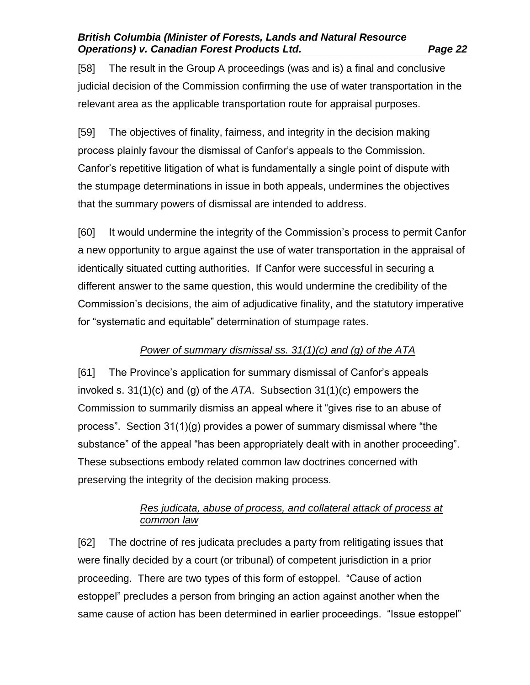[58] The result in the Group A proceedings (was and is) a final and conclusive judicial decision of the Commission confirming the use of water transportation in the relevant area as the applicable transportation route for appraisal purposes.

[59] The objectives of finality, fairness, and integrity in the decision making process plainly favour the dismissal of Canfor's appeals to the Commission. Canfor's repetitive litigation of what is fundamentally a single point of dispute with the stumpage determinations in issue in both appeals, undermines the objectives that the summary powers of dismissal are intended to address.

[60] It would undermine the integrity of the Commission's process to permit Canfor a new opportunity to argue against the use of water transportation in the appraisal of identically situated cutting authorities. If Canfor were successful in securing a different answer to the same question, this would undermine the credibility of the Commission's decisions, the aim of adjudicative finality, and the statutory imperative for "systematic and equitable" determination of stumpage rates.

# *Power of summary dismissal ss. 31(1)(c) and (g) of the ATA*

[61] The Province's application for summary dismissal of Canfor's appeals invoked s. 31(1)(c) and (g) of the *ATA*. Subsection 31(1)(c) empowers the Commission to summarily dismiss an appeal where it "gives rise to an abuse of process". Section 31(1)(g) provides a power of summary dismissal where "the substance" of the appeal "has been appropriately dealt with in another proceeding". These subsections embody related common law doctrines concerned with preserving the integrity of the decision making process.

# *Res judicata, abuse of process, and collateral attack of process at common law*

[62] The doctrine of res judicata precludes a party from relitigating issues that were finally decided by a court (or tribunal) of competent jurisdiction in a prior proceeding. There are two types of this form of estoppel. "Cause of action estoppel" precludes a person from bringing an action against another when the same cause of action has been determined in earlier proceedings. "Issue estoppel"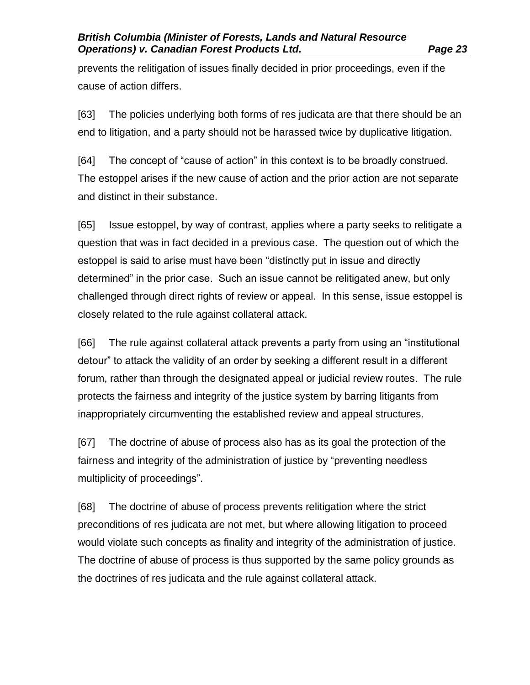prevents the relitigation of issues finally decided in prior proceedings, even if the cause of action differs.

[63] The policies underlying both forms of res judicata are that there should be an end to litigation, and a party should not be harassed twice by duplicative litigation.

[64] The concept of "cause of action" in this context is to be broadly construed. The estoppel arises if the new cause of action and the prior action are not separate and distinct in their substance.

[65] Issue estoppel, by way of contrast, applies where a party seeks to relitigate a question that was in fact decided in a previous case. The question out of which the estoppel is said to arise must have been "distinctly put in issue and directly determined" in the prior case. Such an issue cannot be relitigated anew, but only challenged through direct rights of review or appeal. In this sense, issue estoppel is closely related to the rule against collateral attack.

[66] The rule against collateral attack prevents a party from using an "institutional detour" to attack the validity of an order by seeking a different result in a different forum, rather than through the designated appeal or judicial review routes. The rule protects the fairness and integrity of the justice system by barring litigants from inappropriately circumventing the established review and appeal structures.

[67] The doctrine of abuse of process also has as its goal the protection of the fairness and integrity of the administration of justice by "preventing needless multiplicity of proceedings".

[68] The doctrine of abuse of process prevents relitigation where the strict preconditions of res judicata are not met, but where allowing litigation to proceed would violate such concepts as finality and integrity of the administration of justice. The doctrine of abuse of process is thus supported by the same policy grounds as the doctrines of res judicata and the rule against collateral attack.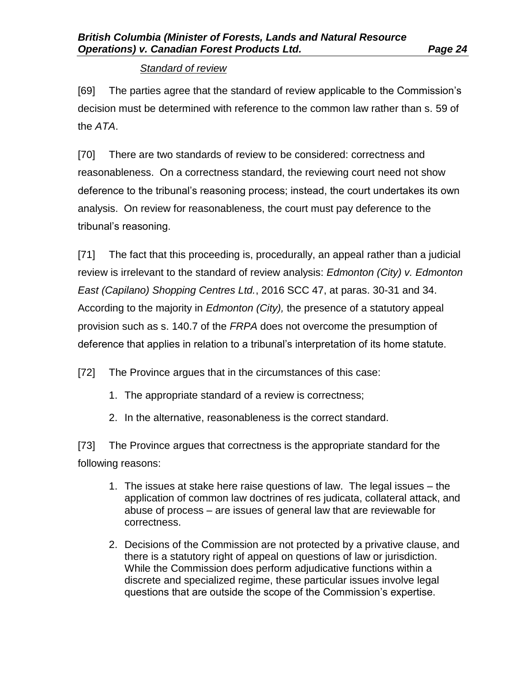### *Standard of review*

[69] The parties agree that the standard of review applicable to the Commission's decision must be determined with reference to the common law rather than s. 59 of the *ATA*.

[70] There are two standards of review to be considered: correctness and reasonableness. On a correctness standard, the reviewing court need not show deference to the tribunal's reasoning process; instead, the court undertakes its own analysis. On review for reasonableness, the court must pay deference to the tribunal's reasoning.

[71] The fact that this proceeding is, procedurally, an appeal rather than a judicial review is irrelevant to the standard of review analysis: *Edmonton (City) v. Edmonton East (Capilano) Shopping Centres Ltd.*, 2016 SCC 47, at paras. 30-31 and 34. According to the majority in *Edmonton (City),* the presence of a statutory appeal provision such as s. 140.7 of the *FRPA* does not overcome the presumption of deference that applies in relation to a tribunal's interpretation of its home statute.

[72] The Province argues that in the circumstances of this case:

- 1. The appropriate standard of a review is correctness;
- 2. In the alternative, reasonableness is the correct standard.

[73] The Province argues that correctness is the appropriate standard for the following reasons:

- 1. The issues at stake here raise questions of law. The legal issues the application of common law doctrines of res judicata, collateral attack, and abuse of process – are issues of general law that are reviewable for correctness.
- 2. Decisions of the Commission are not protected by a privative clause, and there is a statutory right of appeal on questions of law or jurisdiction. While the Commission does perform adjudicative functions within a discrete and specialized regime, these particular issues involve legal questions that are outside the scope of the Commission's expertise.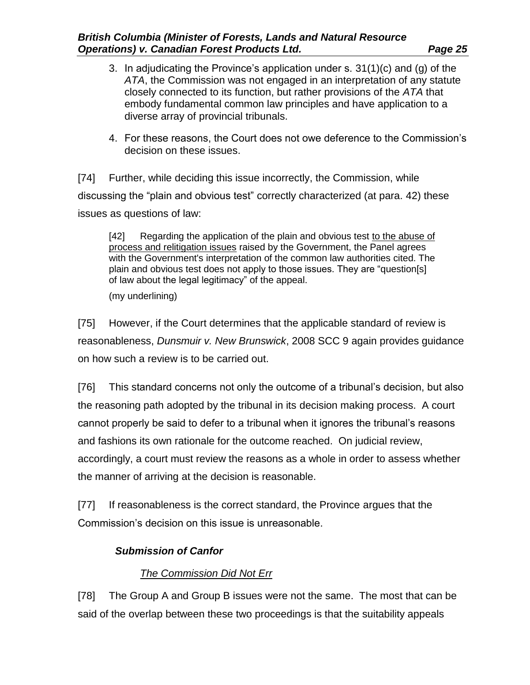- 3. In adjudicating the Province's application under s. 31(1)(c) and (g) of the *ATA*, the Commission was not engaged in an interpretation of any statute closely connected to its function, but rather provisions of the *ATA* that embody fundamental common law principles and have application to a diverse array of provincial tribunals.
- 4. For these reasons, the Court does not owe deference to the Commission's decision on these issues.

[74] Further, while deciding this issue incorrectly, the Commission, while discussing the "plain and obvious test" correctly characterized (at para. 42) these issues as questions of law:

[42] Regarding the application of the plain and obvious test to the abuse of process and relitigation issues raised by the Government, the Panel agrees with the Government's interpretation of the common law authorities cited. The plain and obvious test does not apply to those issues. They are "question[s] of law about the legal legitimacy" of the appeal.

(my underlining)

[75] However, if the Court determines that the applicable standard of review is reasonableness, *Dunsmuir v. New Brunswick*, 2008 SCC 9 again provides guidance on how such a review is to be carried out.

[76] This standard concerns not only the outcome of a tribunal's decision, but also the reasoning path adopted by the tribunal in its decision making process. A court cannot properly be said to defer to a tribunal when it ignores the tribunal's reasons and fashions its own rationale for the outcome reached. On judicial review, accordingly, a court must review the reasons as a whole in order to assess whether the manner of arriving at the decision is reasonable.

[77] If reasonableness is the correct standard, the Province argues that the Commission's decision on this issue is unreasonable.

# <span id="page-24-0"></span>*Submission of Canfor*

## *The Commission Did Not Err*

[78] The Group A and Group B issues were not the same. The most that can be said of the overlap between these two proceedings is that the suitability appeals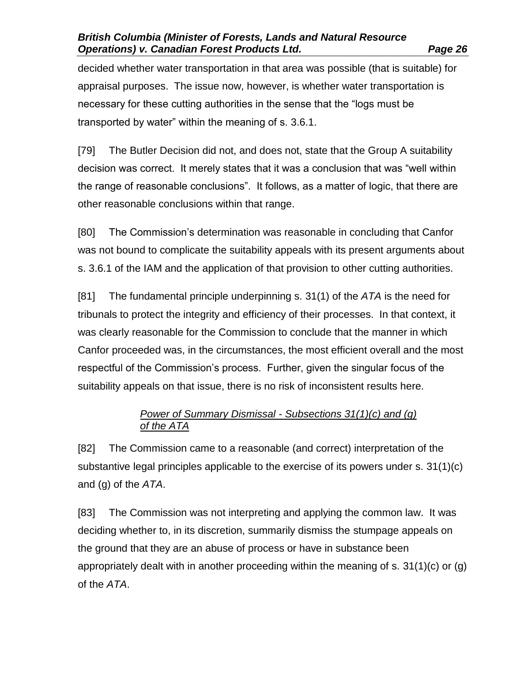decided whether water transportation in that area was possible (that is suitable) for appraisal purposes. The issue now, however, is whether water transportation is necessary for these cutting authorities in the sense that the "logs must be transported by water" within the meaning of s. 3.6.1.

[79] The Butler Decision did not, and does not, state that the Group A suitability decision was correct. It merely states that it was a conclusion that was "well within the range of reasonable conclusions". It follows, as a matter of logic, that there are other reasonable conclusions within that range.

[80] The Commission's determination was reasonable in concluding that Canfor was not bound to complicate the suitability appeals with its present arguments about s. 3.6.1 of the IAM and the application of that provision to other cutting authorities.

[81] The fundamental principle underpinning s. 31(1) of the *ATA* is the need for tribunals to protect the integrity and efficiency of their processes. In that context, it was clearly reasonable for the Commission to conclude that the manner in which Canfor proceeded was, in the circumstances, the most efficient overall and the most respectful of the Commission's process. Further, given the singular focus of the suitability appeals on that issue, there is no risk of inconsistent results here.

# *Power of Summary Dismissal - Subsections 31(1)(c) and (g) of the ATA*

[82] The Commission came to a reasonable (and correct) interpretation of the substantive legal principles applicable to the exercise of its powers under s. 31(1)(c) and (g) of the *ATA*.

[83] The Commission was not interpreting and applying the common law. It was deciding whether to, in its discretion, summarily dismiss the stumpage appeals on the ground that they are an abuse of process or have in substance been appropriately dealt with in another proceeding within the meaning of s. 31(1)(c) or (g) of the *ATA*.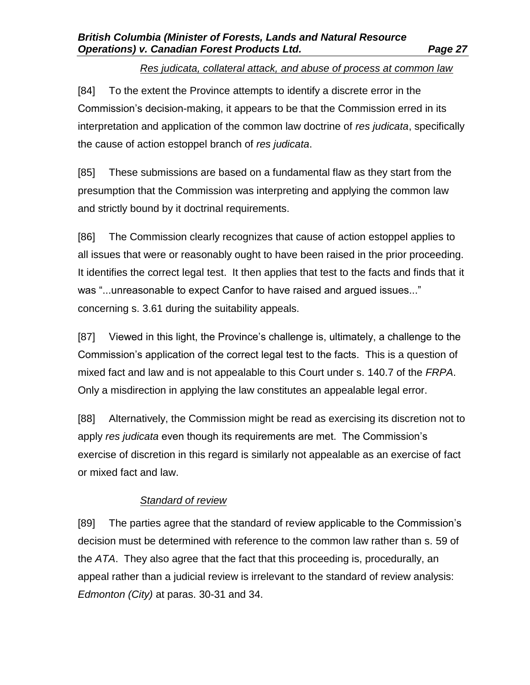# *Res judicata, collateral attack, and abuse of process at common law*

[84] To the extent the Province attempts to identify a discrete error in the Commission's decision-making, it appears to be that the Commission erred in its interpretation and application of the common law doctrine of *res judicata*, specifically the cause of action estoppel branch of *res judicata*.

[85] These submissions are based on a fundamental flaw as they start from the presumption that the Commission was interpreting and applying the common law and strictly bound by it doctrinal requirements.

[86] The Commission clearly recognizes that cause of action estoppel applies to all issues that were or reasonably ought to have been raised in the prior proceeding. It identifies the correct legal test. It then applies that test to the facts and finds that it was "...unreasonable to expect Canfor to have raised and argued issues..." concerning s. 3.61 during the suitability appeals.

[87] Viewed in this light, the Province's challenge is, ultimately, a challenge to the Commission's application of the correct legal test to the facts. This is a question of mixed fact and law and is not appealable to this Court under s. 140.7 of the *FRPA*. Only a misdirection in applying the law constitutes an appealable legal error.

[88] Alternatively, the Commission might be read as exercising its discretion not to apply *res judicata* even though its requirements are met. The Commission's exercise of discretion in this regard is similarly not appealable as an exercise of fact or mixed fact and law.

## *Standard of review*

[89] The parties agree that the standard of review applicable to the Commission's decision must be determined with reference to the common law rather than s. 59 of the *ATA*. They also agree that the fact that this proceeding is, procedurally, an appeal rather than a judicial review is irrelevant to the standard of review analysis: *Edmonton (City)* at paras. 30-31 and 34.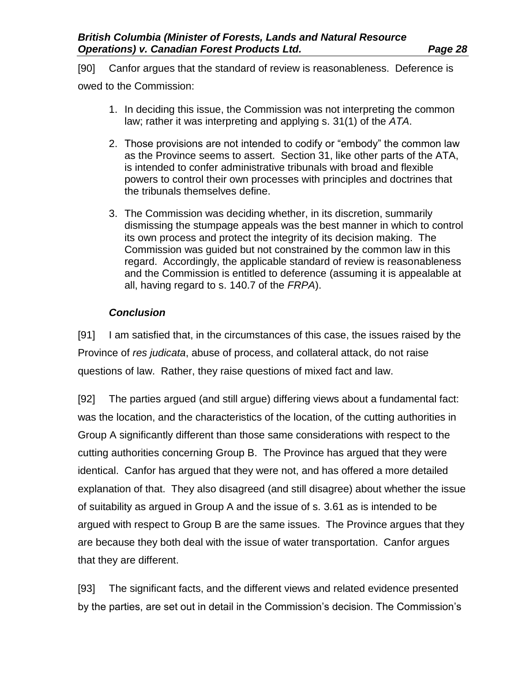[90] Canfor argues that the standard of review is reasonableness. Deference is owed to the Commission:

- 1. In deciding this issue, the Commission was not interpreting the common law; rather it was interpreting and applying s. 31(1) of the *ATA*.
- 2. Those provisions are not intended to codify or "embody" the common law as the Province seems to assert. Section 31, like other parts of the ATA, is intended to confer administrative tribunals with broad and flexible powers to control their own processes with principles and doctrines that the tribunals themselves define.
- 3. The Commission was deciding whether, in its discretion, summarily dismissing the stumpage appeals was the best manner in which to control its own process and protect the integrity of its decision making. The Commission was guided but not constrained by the common law in this regard. Accordingly, the applicable standard of review is reasonableness and the Commission is entitled to deference (assuming it is appealable at all, having regard to s. 140.7 of the *FRPA*).

# *Conclusion*

<span id="page-27-0"></span>[91] I am satisfied that, in the circumstances of this case, the issues raised by the Province of *res judicata*, abuse of process, and collateral attack, do not raise questions of law. Rather, they raise questions of mixed fact and law.

[92] The parties argued (and still argue) differing views about a fundamental fact: was the location, and the characteristics of the location, of the cutting authorities in Group A significantly different than those same considerations with respect to the cutting authorities concerning Group B. The Province has argued that they were identical. Canfor has argued that they were not, and has offered a more detailed explanation of that. They also disagreed (and still disagree) about whether the issue of suitability as argued in Group A and the issue of s. 3.61 as is intended to be argued with respect to Group B are the same issues. The Province argues that they are because they both deal with the issue of water transportation. Canfor argues that they are different.

[93] The significant facts, and the different views and related evidence presented by the parties, are set out in detail in the Commission's decision. The Commission's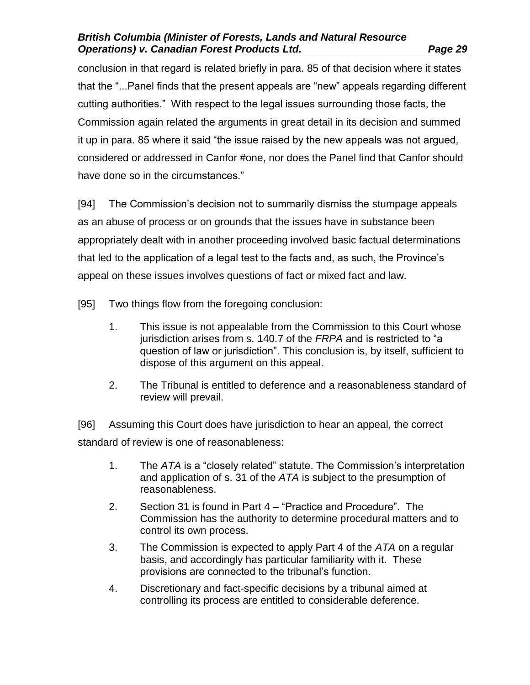### *British Columbia (Minister of Forests, Lands and Natural Resource Operations) v. Canadian Forest Products Ltd. Page 29*

conclusion in that regard is related briefly in para. 85 of that decision where it states that the "...Panel finds that the present appeals are "new" appeals regarding different cutting authorities." With respect to the legal issues surrounding those facts, the Commission again related the arguments in great detail in its decision and summed it up in para. 85 where it said "the issue raised by the new appeals was not argued, considered or addressed in Canfor #one, nor does the Panel find that Canfor should have done so in the circumstances."

[94] The Commission's decision not to summarily dismiss the stumpage appeals as an abuse of process or on grounds that the issues have in substance been appropriately dealt with in another proceeding involved basic factual determinations that led to the application of a legal test to the facts and, as such, the Province's appeal on these issues involves questions of fact or mixed fact and law.

[95] Two things flow from the foregoing conclusion:

- 1. This issue is not appealable from the Commission to this Court whose jurisdiction arises from s. 140.7 of the *FRPA* and is restricted to "a question of law or jurisdiction". This conclusion is, by itself, sufficient to dispose of this argument on this appeal.
- 2. The Tribunal is entitled to deference and a reasonableness standard of review will prevail.

[96] Assuming this Court does have jurisdiction to hear an appeal, the correct standard of review is one of reasonableness:

- 1. The *ATA* is a "closely related" statute. The Commission's interpretation and application of s. 31 of the *ATA* is subject to the presumption of reasonableness.
- 2. Section 31 is found in Part 4 "Practice and Procedure". The Commission has the authority to determine procedural matters and to control its own process.
- 3. The Commission is expected to apply Part 4 of the *ATA* on a regular basis, and accordingly has particular familiarity with it. These provisions are connected to the tribunal's function.
- 4. Discretionary and fact-specific decisions by a tribunal aimed at controlling its process are entitled to considerable deference.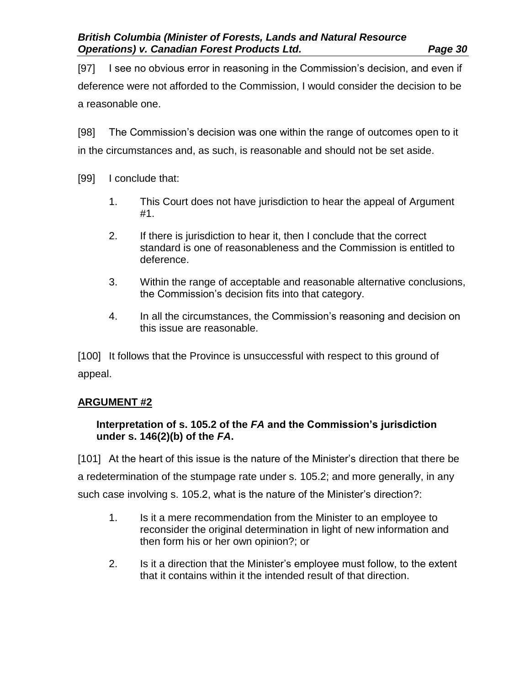[97] I see no obvious error in reasoning in the Commission's decision, and even if deference were not afforded to the Commission, I would consider the decision to be a reasonable one.

[98] The Commission's decision was one within the range of outcomes open to it in the circumstances and, as such, is reasonable and should not be set aside.

- [99] I conclude that:
	- 1. This Court does not have jurisdiction to hear the appeal of Argument #1.
	- 2. If there is jurisdiction to hear it, then I conclude that the correct standard is one of reasonableness and the Commission is entitled to deference.
	- 3. Within the range of acceptable and reasonable alternative conclusions, the Commission's decision fits into that category.
	- 4. In all the circumstances, the Commission's reasoning and decision on this issue are reasonable.

[100] It follows that the Province is unsuccessful with respect to this ground of appeal.

## <span id="page-29-0"></span>**ARGUMENT #2**

### <span id="page-29-1"></span>**Interpretation of s. 105.2 of the** *FA* **and the Commission's jurisdiction under s. 146(2)(b) of the** *FA***.**

[101] At the heart of this issue is the nature of the Minister's direction that there be a redetermination of the stumpage rate under s. 105.2; and more generally, in any such case involving s. 105.2, what is the nature of the Minister's direction?:

- 1. Is it a mere recommendation from the Minister to an employee to reconsider the original determination in light of new information and then form his or her own opinion?; or
- 2. Is it a direction that the Minister's employee must follow, to the extent that it contains within it the intended result of that direction.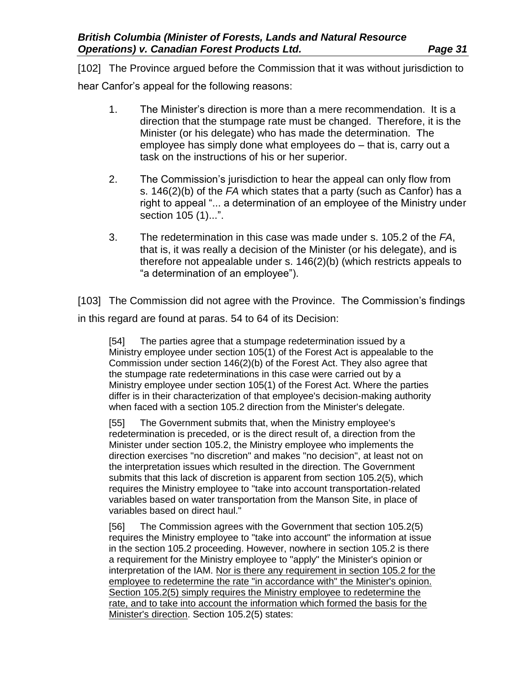[102] The Province argued before the Commission that it was without jurisdiction to hear Canfor's appeal for the following reasons:

- 1. The Minister's direction is more than a mere recommendation. It is a direction that the stumpage rate must be changed. Therefore, it is the Minister (or his delegate) who has made the determination. The employee has simply done what employees do – that is, carry out a task on the instructions of his or her superior.
- 2. The Commission's jurisdiction to hear the appeal can only flow from s. 146(2)(b) of the *FA* which states that a party (such as Canfor) has a right to appeal "... a determination of an employee of the Ministry under section 105 (1)...".
- 3. The redetermination in this case was made under s. 105.2 of the *FA*, that is, it was really a decision of the Minister (or his delegate), and is therefore not appealable under s. 146(2)(b) (which restricts appeals to "a determination of an employee").

[103] The Commission did not agree with the Province. The Commission's findings in this regard are found at paras. 54 to 64 of its Decision:

[54] The parties agree that a stumpage redetermination issued by a Ministry employee under section 105(1) of the Forest Act is appealable to the Commission under section 146(2)(b) of the Forest Act. They also agree that the stumpage rate redeterminations in this case were carried out by a Ministry employee under section 105(1) of the Forest Act. Where the parties differ is in their characterization of that employee's decision-making authority when faced with a section 105.2 direction from the Minister's delegate.

[55] The Government submits that, when the Ministry employee's redetermination is preceded, or is the direct result of, a direction from the Minister under section 105.2, the Ministry employee who implements the direction exercises "no discretion" and makes "no decision", at least not on the interpretation issues which resulted in the direction. The Government submits that this lack of discretion is apparent from section 105.2(5), which requires the Ministry employee to "take into account transportation-related variables based on water transportation from the Manson Site, in place of variables based on direct haul."

[56] The Commission agrees with the Government that section 105.2(5) requires the Ministry employee to "take into account" the information at issue in the section 105.2 proceeding. However, nowhere in section 105.2 is there a requirement for the Ministry employee to "apply" the Minister's opinion or interpretation of the IAM. Nor is there any requirement in section 105.2 for the employee to redetermine the rate "in accordance with" the Minister's opinion. Section 105.2(5) simply requires the Ministry employee to redetermine the rate, and to take into account the information which formed the basis for the Minister's direction. Section 105.2(5) states: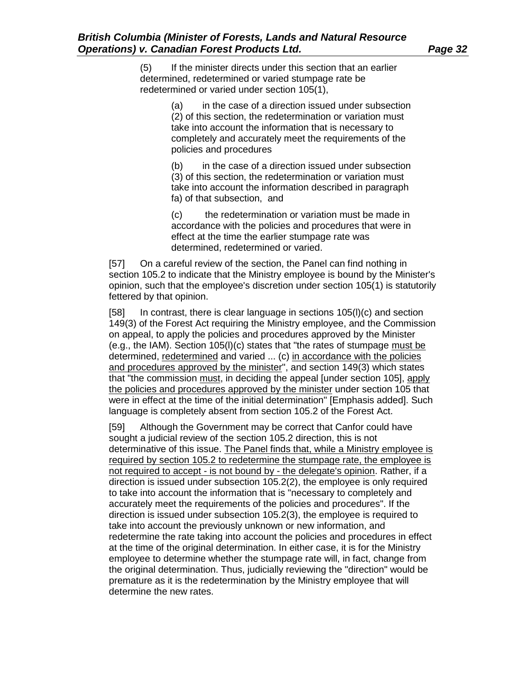(5) If the minister directs under this section that an earlier determined, redetermined or varied stumpage rate be redetermined or varied under section 105(1),

> (a) in the case of a direction issued under subsection (2) of this section, the redetermination or variation must take into account the information that is necessary to completely and accurately meet the requirements of the policies and procedures

> (b) in the case of a direction issued under subsection (3) of this section, the redetermination or variation must take into account the information described in paragraph fa) of that subsection, and

> (c) the redetermination or variation must be made in accordance with the policies and procedures that were in effect at the time the earlier stumpage rate was determined, redetermined or varied.

[57] On a careful review of the section, the Panel can find nothing in section 105.2 to indicate that the Ministry employee is bound by the Minister's opinion, such that the employee's discretion under section 105(1) is statutorily fettered by that opinion.

[58] In contrast, there is clear language in sections 105(l)(c) and section 149(3) of the Forest Act requiring the Ministry employee, and the Commission on appeal, to apply the policies and procedures approved by the Minister (e.g., the IAM). Section 105(l)(c) states that "the rates of stumpage must be determined, redetermined and varied ... (c) in accordance with the policies and procedures approved by the minister", and section 149(3) which states that "the commission must, in deciding the appeal [under section 105], apply the policies and procedures approved by the minister under section 105 that were in effect at the time of the initial determination" [Emphasis added]. Such language is completely absent from section 105.2 of the Forest Act.

[59] Although the Government may be correct that Canfor could have sought a judicial review of the section 105.2 direction, this is not determinative of this issue. The Panel finds that, while a Ministry employee is required by section 105.2 to redetermine the stumpage rate, the employee is not required to accept - is not bound by - the delegate's opinion. Rather, if a direction is issued under subsection 105.2(2), the employee is only required to take into account the information that is "necessary to completely and accurately meet the requirements of the policies and procedures". If the direction is issued under subsection 105.2(3), the employee is required to take into account the previously unknown or new information, and redetermine the rate taking into account the policies and procedures in effect at the time of the original determination. In either case, it is for the Ministry employee to determine whether the stumpage rate will, in fact, change from the original determination. Thus, judicially reviewing the "direction" would be premature as it is the redetermination by the Ministry employee that will determine the new rates.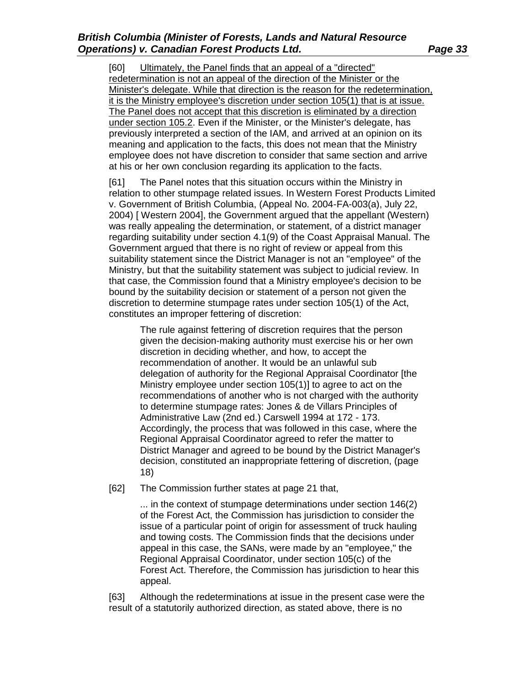[60] Ultimately, the Panel finds that an appeal of a "directed" redetermination is not an appeal of the direction of the Minister or the Minister's delegate. While that direction is the reason for the redetermination, it is the Ministry employee's discretion under section 105(1) that is at issue. The Panel does not accept that this discretion is eliminated by a direction under section 105.2. Even if the Minister, or the Minister's delegate, has previously interpreted a section of the IAM, and arrived at an opinion on its meaning and application to the facts, this does not mean that the Ministry employee does not have discretion to consider that same section and arrive at his or her own conclusion regarding its application to the facts.

[61] The Panel notes that this situation occurs within the Ministry in relation to other stumpage related issues. In Western Forest Products Limited v. Government of British Columbia, (Appeal No. 2004-FA-003(a), July 22, 2004) [ Western 2004], the Government argued that the appellant (Western) was really appealing the determination, or statement, of a district manager regarding suitability under section 4.1(9) of the Coast Appraisal Manual. The Government argued that there is no right of review or appeal from this suitability statement since the District Manager is not an "employee" of the Ministry, but that the suitability statement was subject to judicial review. In that case, the Commission found that a Ministry employee's decision to be bound by the suitability decision or statement of a person not given the discretion to determine stumpage rates under section 105(1) of the Act, constitutes an improper fettering of discretion:

The rule against fettering of discretion requires that the person given the decision-making authority must exercise his or her own discretion in deciding whether, and how, to accept the recommendation of another. It would be an unlawful sub delegation of authority for the Regional Appraisal Coordinator [the Ministry employee under section 105(1)] to agree to act on the recommendations of another who is not charged with the authority to determine stumpage rates: Jones & de Villars Principles of Administrative Law (2nd ed.) Carswell 1994 at 172 - 173. Accordingly, the process that was followed in this case, where the Regional Appraisal Coordinator agreed to refer the matter to District Manager and agreed to be bound by the District Manager's decision, constituted an inappropriate fettering of discretion, (page 18)

[62] The Commission further states at page 21 that,

... in the context of stumpage determinations under section 146(2) of the Forest Act, the Commission has jurisdiction to consider the issue of a particular point of origin for assessment of truck hauling and towing costs. The Commission finds that the decisions under appeal in this case, the SANs, were made by an "employee," the Regional Appraisal Coordinator, under section 105(c) of the Forest Act. Therefore, the Commission has jurisdiction to hear this appeal.

[63] Although the redeterminations at issue in the present case were the result of a statutorily authorized direction, as stated above, there is no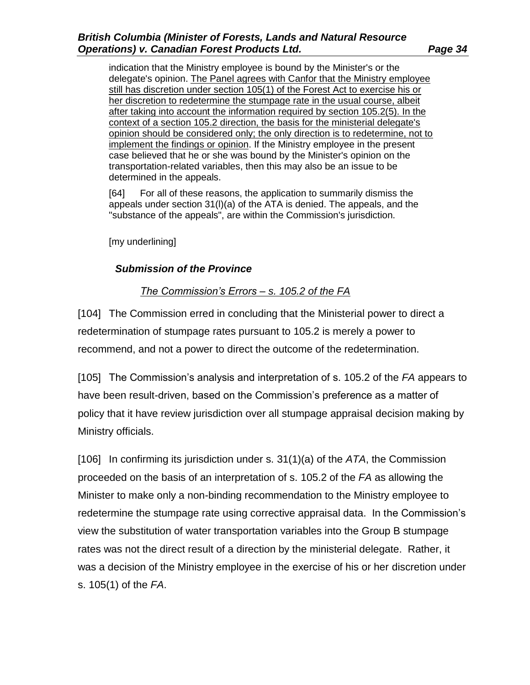indication that the Ministry employee is bound by the Minister's or the delegate's opinion. The Panel agrees with Canfor that the Ministry employee still has discretion under section 105(1) of the Forest Act to exercise his or her discretion to redetermine the stumpage rate in the usual course, albeit after taking into account the information required by section 105.2(5). In the context of a section 105.2 direction, the basis for the ministerial delegate's opinion should be considered only; the only direction is to redetermine, not to implement the findings or opinion. If the Ministry employee in the present case believed that he or she was bound by the Minister's opinion on the transportation-related variables, then this may also be an issue to be determined in the appeals.

[64] For all of these reasons, the application to summarily dismiss the appeals under section 31(l)(a) of the ATA is denied. The appeals, and the "substance of the appeals", are within the Commission's jurisdiction.

[my underlining]

### <span id="page-33-0"></span>*Submission of the Province*

## *The Commission's Errors – s. 105.2 of the FA*

[104] The Commission erred in concluding that the Ministerial power to direct a redetermination of stumpage rates pursuant to 105.2 is merely a power to recommend, and not a power to direct the outcome of the redetermination.

[105] The Commission's analysis and interpretation of s. 105.2 of the *FA* appears to have been result-driven, based on the Commission's preference as a matter of policy that it have review jurisdiction over all stumpage appraisal decision making by Ministry officials.

[106] In confirming its jurisdiction under s. 31(1)(a) of the *ATA*, the Commission proceeded on the basis of an interpretation of s. 105.2 of the *FA* as allowing the Minister to make only a non-binding recommendation to the Ministry employee to redetermine the stumpage rate using corrective appraisal data. In the Commission's view the substitution of water transportation variables into the Group B stumpage rates was not the direct result of a direction by the ministerial delegate. Rather, it was a decision of the Ministry employee in the exercise of his or her discretion under s. 105(1) of the *FA*.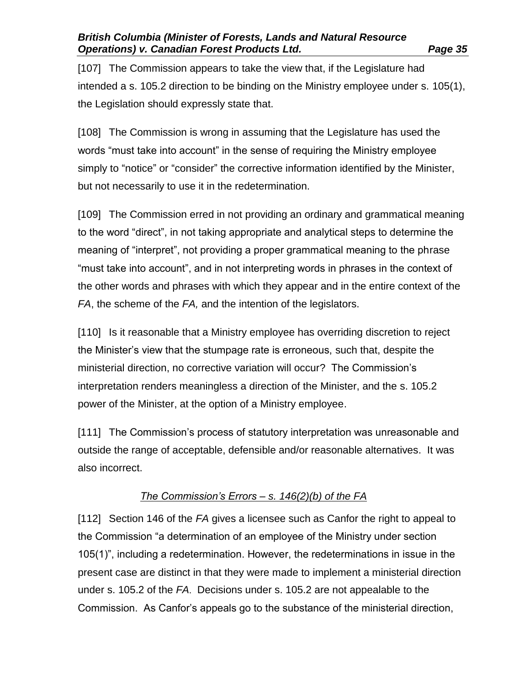[107] The Commission appears to take the view that, if the Legislature had intended a s. 105.2 direction to be binding on the Ministry employee under s. 105(1), the Legislation should expressly state that.

[108] The Commission is wrong in assuming that the Legislature has used the words "must take into account" in the sense of requiring the Ministry employee simply to "notice" or "consider" the corrective information identified by the Minister, but not necessarily to use it in the redetermination.

[109] The Commission erred in not providing an ordinary and grammatical meaning to the word "direct", in not taking appropriate and analytical steps to determine the meaning of "interpret", not providing a proper grammatical meaning to the phrase "must take into account", and in not interpreting words in phrases in the context of the other words and phrases with which they appear and in the entire context of the *FA*, the scheme of the *FA,* and the intention of the legislators.

[110] Is it reasonable that a Ministry employee has overriding discretion to reject the Minister's view that the stumpage rate is erroneous, such that, despite the ministerial direction, no corrective variation will occur? The Commission's interpretation renders meaningless a direction of the Minister, and the s. 105.2 power of the Minister, at the option of a Ministry employee.

[111] The Commission's process of statutory interpretation was unreasonable and outside the range of acceptable, defensible and/or reasonable alternatives. It was also incorrect.

# *The Commission's Errors – s. 146(2)(b) of the FA*

[112] Section 146 of the *FA* gives a licensee such as Canfor the right to appeal to the Commission "a determination of an employee of the Ministry under section 105(1)", including a redetermination. However, the redeterminations in issue in the present case are distinct in that they were made to implement a ministerial direction under s. 105.2 of the *FA*. Decisions under s. 105.2 are not appealable to the Commission. As Canfor's appeals go to the substance of the ministerial direction,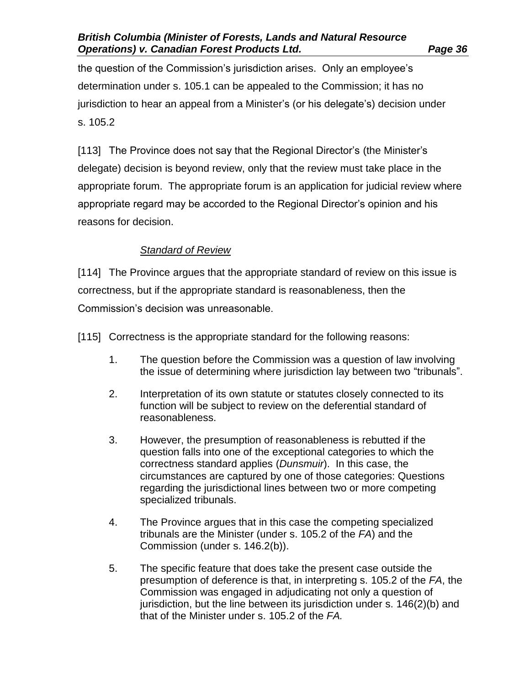the question of the Commission's jurisdiction arises. Only an employee's determination under s. 105.1 can be appealed to the Commission; it has no jurisdiction to hear an appeal from a Minister's (or his delegate's) decision under s. 105.2

[113] The Province does not say that the Regional Director's (the Minister's delegate) decision is beyond review, only that the review must take place in the appropriate forum. The appropriate forum is an application for judicial review where appropriate regard may be accorded to the Regional Director's opinion and his reasons for decision.

## *Standard of Review*

[114] The Province argues that the appropriate standard of review on this issue is correctness, but if the appropriate standard is reasonableness, then the Commission's decision was unreasonable.

[115] Correctness is the appropriate standard for the following reasons:

- 1. The question before the Commission was a question of law involving the issue of determining where jurisdiction lay between two "tribunals".
- 2. Interpretation of its own statute or statutes closely connected to its function will be subject to review on the deferential standard of reasonableness.
- 3. However, the presumption of reasonableness is rebutted if the question falls into one of the exceptional categories to which the correctness standard applies (*Dunsmuir*). In this case, the circumstances are captured by one of those categories: Questions regarding the jurisdictional lines between two or more competing specialized tribunals.
- 4. The Province argues that in this case the competing specialized tribunals are the Minister (under s. 105.2 of the *FA*) and the Commission (under s. 146.2(b)).
- 5. The specific feature that does take the present case outside the presumption of deference is that, in interpreting s. 105.2 of the *FA*, the Commission was engaged in adjudicating not only a question of jurisdiction, but the line between its jurisdiction under s. 146(2)(b) and that of the Minister under s. 105.2 of the *FA.*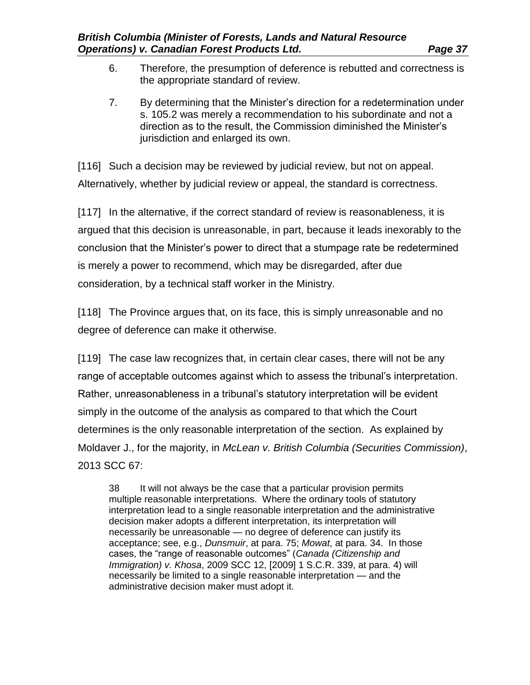- 6. Therefore, the presumption of deference is rebutted and correctness is the appropriate standard of review.
- 7. By determining that the Minister's direction for a redetermination under s. 105.2 was merely a recommendation to his subordinate and not a direction as to the result, the Commission diminished the Minister's jurisdiction and enlarged its own.

[116] Such a decision may be reviewed by judicial review, but not on appeal. Alternatively, whether by judicial review or appeal, the standard is correctness.

[117] In the alternative, if the correct standard of review is reasonableness, it is argued that this decision is unreasonable, in part, because it leads inexorably to the conclusion that the Minister's power to direct that a stumpage rate be redetermined is merely a power to recommend, which may be disregarded, after due consideration, by a technical staff worker in the Ministry.

[118] The Province argues that, on its face, this is simply unreasonable and no degree of deference can make it otherwise.

[119] The case law recognizes that, in certain clear cases, there will not be any range of acceptable outcomes against which to assess the tribunal's interpretation. Rather, unreasonableness in a tribunal's statutory interpretation will be evident simply in the outcome of the analysis as compared to that which the Court determines is the only reasonable interpretation of the section. As explained by Moldaver J., for the majority, in *McLean v. British Columbia (Securities Commission)*, 2013 SCC 67:

38 It will not always be the case that a particular provision permits multiple reasonable interpretations. Where the ordinary tools of statutory interpretation lead to a single reasonable interpretation and the administrative decision maker adopts a different interpretation, its interpretation will necessarily be unreasonable — no degree of deference can justify its acceptance; see, e.g., *Dunsmuir*, at para. 75; *Mowat*, at para. 34. In those cases, the "range of reasonable outcomes" (*Canada (Citizenship and Immigration) v. Khosa*, 2009 SCC 12, [2009] 1 S.C.R. 339, at para. 4) will necessarily be limited to a single reasonable interpretation — and the administrative decision maker must adopt it.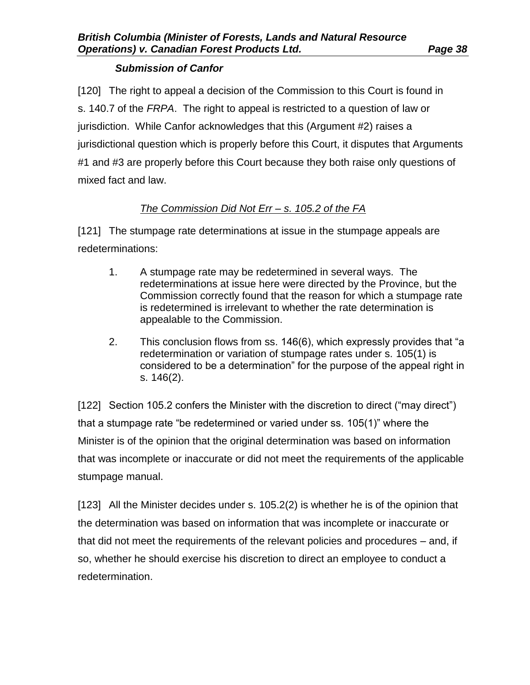### *Submission of Canfor*

<span id="page-37-0"></span>[120] The right to appeal a decision of the Commission to this Court is found in s. 140.7 of the *FRPA*. The right to appeal is restricted to a question of law or jurisdiction. While Canfor acknowledges that this (Argument #2) raises a jurisdictional question which is properly before this Court, it disputes that Arguments #1 and #3 are properly before this Court because they both raise only questions of mixed fact and law.

# *The Commission Did Not Err – s. 105.2 of the FA*

[121] The stumpage rate determinations at issue in the stumpage appeals are redeterminations:

- 1. A stumpage rate may be redetermined in several ways. The redeterminations at issue here were directed by the Province, but the Commission correctly found that the reason for which a stumpage rate is redetermined is irrelevant to whether the rate determination is appealable to the Commission.
- 2. This conclusion flows from ss. 146(6), which expressly provides that "a redetermination or variation of stumpage rates under s. 105(1) is considered to be a determination" for the purpose of the appeal right in s. 146(2).

[122] Section 105.2 confers the Minister with the discretion to direct ("may direct") that a stumpage rate "be redetermined or varied under ss. 105(1)" where the Minister is of the opinion that the original determination was based on information that was incomplete or inaccurate or did not meet the requirements of the applicable stumpage manual.

[123] All the Minister decides under s. 105.2(2) is whether he is of the opinion that the determination was based on information that was incomplete or inaccurate or that did not meet the requirements of the relevant policies and procedures – and, if so, whether he should exercise his discretion to direct an employee to conduct a redetermination.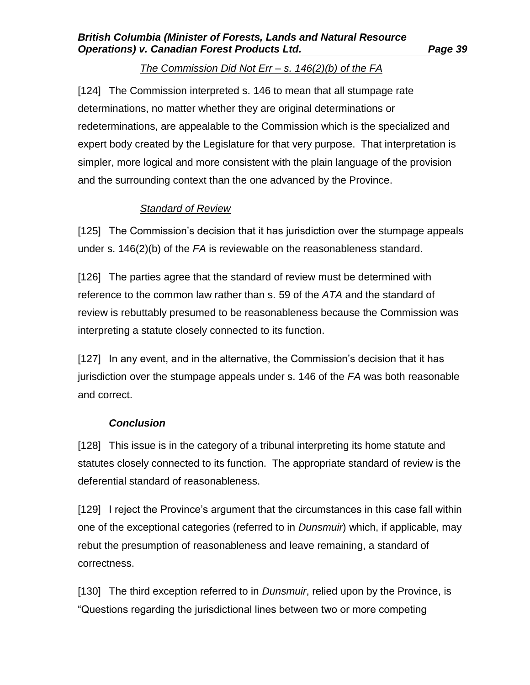# *The Commission Did Not Err – s. 146(2)(b) of the FA*

[124] The Commission interpreted s. 146 to mean that all stumpage rate determinations, no matter whether they are original determinations or redeterminations, are appealable to the Commission which is the specialized and expert body created by the Legislature for that very purpose. That interpretation is simpler, more logical and more consistent with the plain language of the provision and the surrounding context than the one advanced by the Province.

# *Standard of Review*

[125] The Commission's decision that it has jurisdiction over the stumpage appeals under s. 146(2)(b) of the *FA* is reviewable on the reasonableness standard.

[126] The parties agree that the standard of review must be determined with reference to the common law rather than s. 59 of the *ATA* and the standard of review is rebuttably presumed to be reasonableness because the Commission was interpreting a statute closely connected to its function.

[127] In any event, and in the alternative, the Commission's decision that it has jurisdiction over the stumpage appeals under s. 146 of the *FA* was both reasonable and correct.

## *Conclusion*

<span id="page-38-0"></span>[128] This issue is in the category of a tribunal interpreting its home statute and statutes closely connected to its function. The appropriate standard of review is the deferential standard of reasonableness.

[129] I reject the Province's argument that the circumstances in this case fall within one of the exceptional categories (referred to in *Dunsmuir*) which, if applicable, may rebut the presumption of reasonableness and leave remaining, a standard of correctness.

[130] The third exception referred to in *Dunsmuir*, relied upon by the Province, is "Questions regarding the jurisdictional lines between two or more competing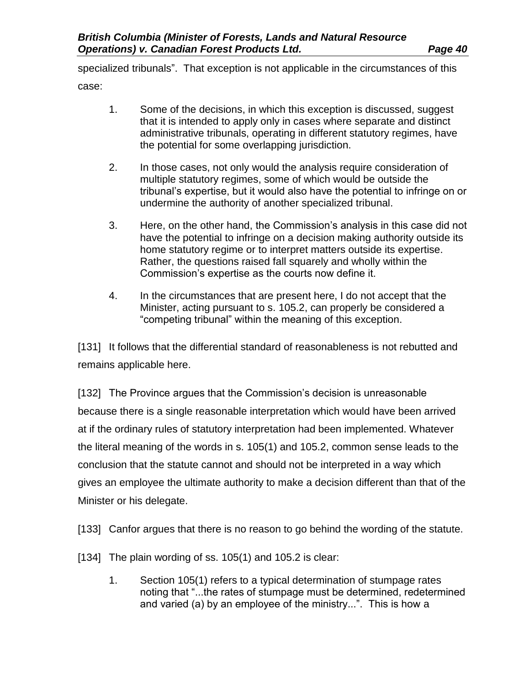specialized tribunals". That exception is not applicable in the circumstances of this case:

- 1. Some of the decisions, in which this exception is discussed, suggest that it is intended to apply only in cases where separate and distinct administrative tribunals, operating in different statutory regimes, have the potential for some overlapping jurisdiction.
- 2. In those cases, not only would the analysis require consideration of multiple statutory regimes, some of which would be outside the tribunal's expertise, but it would also have the potential to infringe on or undermine the authority of another specialized tribunal.
- 3. Here, on the other hand, the Commission's analysis in this case did not have the potential to infringe on a decision making authority outside its home statutory regime or to interpret matters outside its expertise. Rather, the questions raised fall squarely and wholly within the Commission's expertise as the courts now define it.
- 4. In the circumstances that are present here, I do not accept that the Minister, acting pursuant to s. 105.2, can properly be considered a "competing tribunal" within the meaning of this exception.

[131] It follows that the differential standard of reasonableness is not rebutted and remains applicable here.

[132] The Province argues that the Commission's decision is unreasonable because there is a single reasonable interpretation which would have been arrived at if the ordinary rules of statutory interpretation had been implemented. Whatever the literal meaning of the words in s. 105(1) and 105.2, common sense leads to the conclusion that the statute cannot and should not be interpreted in a way which gives an employee the ultimate authority to make a decision different than that of the Minister or his delegate.

[133] Canfor argues that there is no reason to go behind the wording of the statute.

- [134] The plain wording of ss. 105(1) and 105.2 is clear:
	- 1. Section 105(1) refers to a typical determination of stumpage rates noting that "...the rates of stumpage must be determined, redetermined and varied (a) by an employee of the ministry...". This is how a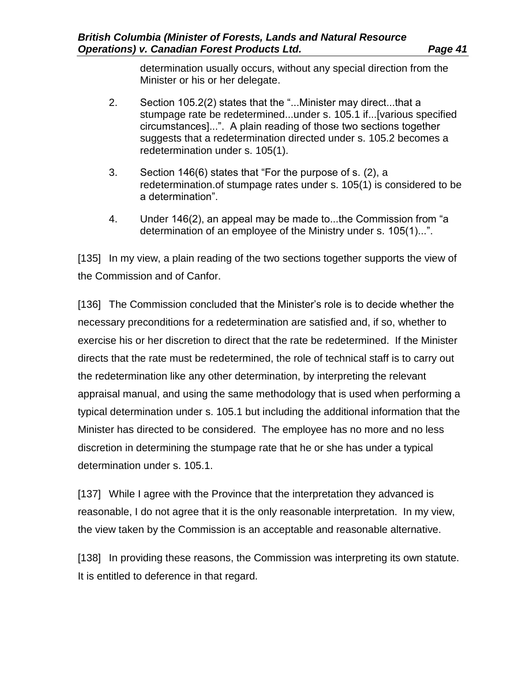determination usually occurs, without any special direction from the Minister or his or her delegate.

- 2. Section 105.2(2) states that the "...Minister may direct...that a stumpage rate be redetermined...under s. 105.1 if...[various specified circumstances]...". A plain reading of those two sections together suggests that a redetermination directed under s. 105.2 becomes a redetermination under s. 105(1).
- 3. Section 146(6) states that "For the purpose of s. (2), a redetermination.of stumpage rates under s. 105(1) is considered to be a determination".
- 4. Under 146(2), an appeal may be made to...the Commission from "a determination of an employee of the Ministry under s. 105(1)...".

[135] In my view, a plain reading of the two sections together supports the view of the Commission and of Canfor.

[136] The Commission concluded that the Minister's role is to decide whether the necessary preconditions for a redetermination are satisfied and, if so, whether to exercise his or her discretion to direct that the rate be redetermined. If the Minister directs that the rate must be redetermined, the role of technical staff is to carry out the redetermination like any other determination, by interpreting the relevant appraisal manual, and using the same methodology that is used when performing a typical determination under s. 105.1 but including the additional information that the Minister has directed to be considered. The employee has no more and no less discretion in determining the stumpage rate that he or she has under a typical determination under s. 105.1.

[137] While I agree with the Province that the interpretation they advanced is reasonable, I do not agree that it is the only reasonable interpretation. In my view, the view taken by the Commission is an acceptable and reasonable alternative.

[138] In providing these reasons, the Commission was interpreting its own statute. It is entitled to deference in that regard.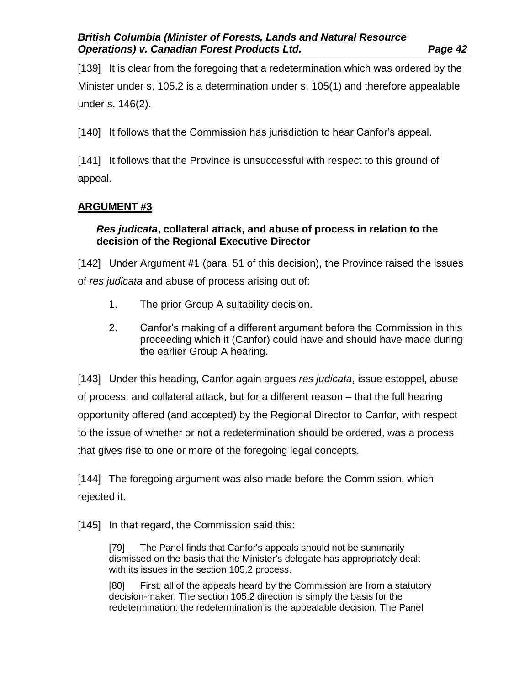[139] It is clear from the foregoing that a redetermination which was ordered by the Minister under s. 105.2 is a determination under s. 105(1) and therefore appealable under s. 146(2).

[140] It follows that the Commission has jurisdiction to hear Canfor's appeal.

[141] It follows that the Province is unsuccessful with respect to this ground of appeal.

# <span id="page-41-0"></span>**ARGUMENT #3**

### <span id="page-41-1"></span>*Res judicata***, collateral attack, and abuse of process in relation to the decision of the Regional Executive Director**

[142] Under Argument #1 (para. 51 of this decision), the Province raised the issues of *res judicata* and abuse of process arising out of:

- 1. The prior Group A suitability decision.
- 2. Canfor's making of a different argument before the Commission in this proceeding which it (Canfor) could have and should have made during the earlier Group A hearing.

[143] Under this heading, Canfor again argues *res judicata*, issue estoppel, abuse of process, and collateral attack, but for a different reason – that the full hearing opportunity offered (and accepted) by the Regional Director to Canfor, with respect to the issue of whether or not a redetermination should be ordered, was a process that gives rise to one or more of the foregoing legal concepts.

[144] The foregoing argument was also made before the Commission, which rejected it.

[145] In that regard, the Commission said this:

[79] The Panel finds that Canfor's appeals should not be summarily dismissed on the basis that the Minister's delegate has appropriately dealt with its issues in the section 105.2 process.

[80] First, all of the appeals heard by the Commission are from a statutory decision-maker. The section 105.2 direction is simply the basis for the redetermination; the redetermination is the appealable decision. The Panel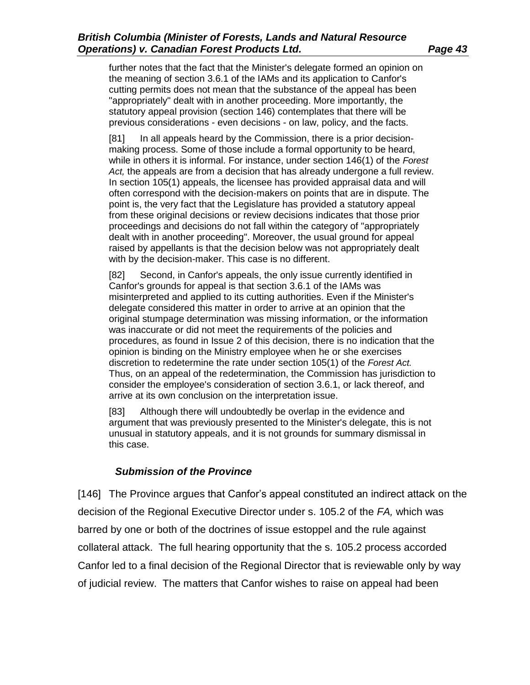further notes that the fact that the Minister's delegate formed an opinion on the meaning of section 3.6.1 of the IAMs and its application to Canfor's cutting permits does not mean that the substance of the appeal has been "appropriately" dealt with in another proceeding. More importantly, the statutory appeal provision (section 146) contemplates that there will be previous considerations - even decisions - on law, policy, and the facts.

[81] In all appeals heard by the Commission, there is a prior decisionmaking process. Some of those include a formal opportunity to be heard, while in others it is informal. For instance, under section 146(1) of the *Forest Act,* the appeals are from a decision that has already undergone a full review. In section 105(1) appeals, the licensee has provided appraisal data and will often correspond with the decision-makers on points that are in dispute. The point is, the very fact that the Legislature has provided a statutory appeal from these original decisions or review decisions indicates that those prior proceedings and decisions do not fall within the category of "appropriately dealt with in another proceeding". Moreover, the usual ground for appeal raised by appellants is that the decision below was not appropriately dealt with by the decision-maker. This case is no different.

[82] Second, in Canfor's appeals, the only issue currently identified in Canfor's grounds for appeal is that section 3.6.1 of the IAMs was misinterpreted and applied to its cutting authorities. Even if the Minister's delegate considered this matter in order to arrive at an opinion that the original stumpage determination was missing information, or the information was inaccurate or did not meet the requirements of the policies and procedures, as found in Issue 2 of this decision, there is no indication that the opinion is binding on the Ministry employee when he or she exercises discretion to redetermine the rate under section 105(1) of the *Forest Act.*  Thus, on an appeal of the redetermination, the Commission has jurisdiction to consider the employee's consideration of section 3.6.1, or lack thereof, and arrive at its own conclusion on the interpretation issue.

[83] Although there will undoubtedly be overlap in the evidence and argument that was previously presented to the Minister's delegate, this is not unusual in statutory appeals, and it is not grounds for summary dismissal in this case.

### *Submission of the Province*

<span id="page-42-0"></span>[146] The Province argues that Canfor's appeal constituted an indirect attack on the decision of the Regional Executive Director under s. 105.2 of the *FA,* which was barred by one or both of the doctrines of issue estoppel and the rule against collateral attack. The full hearing opportunity that the s. 105.2 process accorded Canfor led to a final decision of the Regional Director that is reviewable only by way of judicial review. The matters that Canfor wishes to raise on appeal had been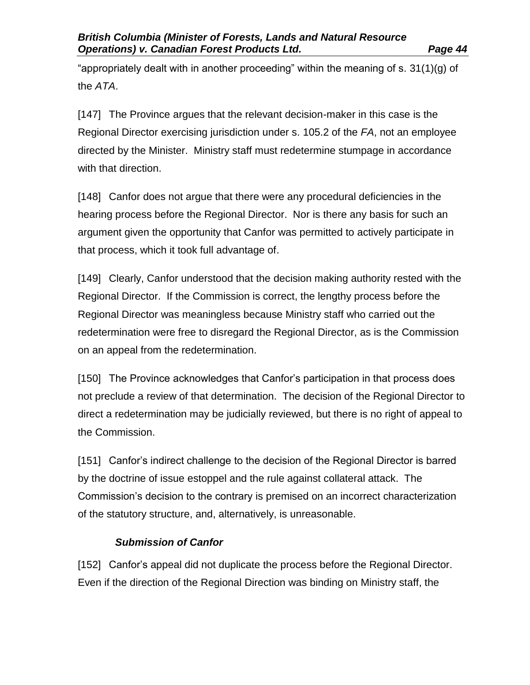"appropriately dealt with in another proceeding" within the meaning of s. 31(1)(g) of the *ATA*.

[147] The Province argues that the relevant decision-maker in this case is the Regional Director exercising jurisdiction under s. 105.2 of the *FA*, not an employee directed by the Minister. Ministry staff must redetermine stumpage in accordance with that direction.

[148] Canfor does not argue that there were any procedural deficiencies in the hearing process before the Regional Director. Nor is there any basis for such an argument given the opportunity that Canfor was permitted to actively participate in that process, which it took full advantage of.

[149] Clearly, Canfor understood that the decision making authority rested with the Regional Director. If the Commission is correct, the lengthy process before the Regional Director was meaningless because Ministry staff who carried out the redetermination were free to disregard the Regional Director, as is the Commission on an appeal from the redetermination.

[150] The Province acknowledges that Canfor's participation in that process does not preclude a review of that determination. The decision of the Regional Director to direct a redetermination may be judicially reviewed, but there is no right of appeal to the Commission.

[151] Canfor's indirect challenge to the decision of the Regional Director is barred by the doctrine of issue estoppel and the rule against collateral attack. The Commission's decision to the contrary is premised on an incorrect characterization of the statutory structure, and, alternatively, is unreasonable.

# *Submission of Canfor*

<span id="page-43-0"></span>[152] Canfor's appeal did not duplicate the process before the Regional Director. Even if the direction of the Regional Direction was binding on Ministry staff, the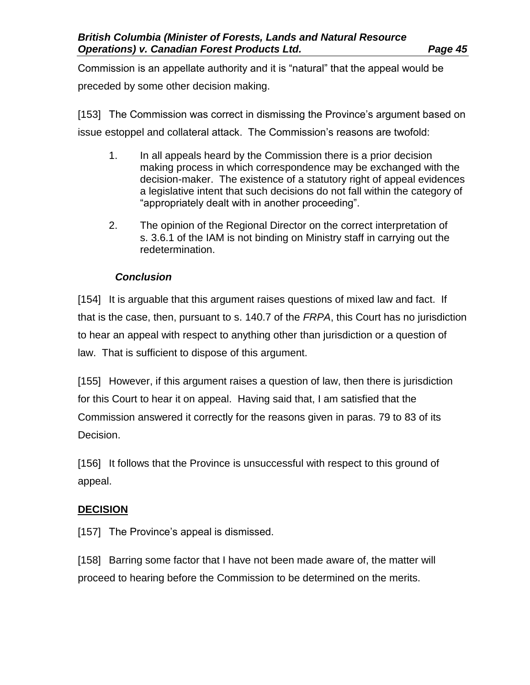Commission is an appellate authority and it is "natural" that the appeal would be preceded by some other decision making.

[153] The Commission was correct in dismissing the Province's argument based on issue estoppel and collateral attack. The Commission's reasons are twofold:

- 1. In all appeals heard by the Commission there is a prior decision making process in which correspondence may be exchanged with the decision-maker. The existence of a statutory right of appeal evidences a legislative intent that such decisions do not fall within the category of "appropriately dealt with in another proceeding".
- 2. The opinion of the Regional Director on the correct interpretation of s. 3.6.1 of the IAM is not binding on Ministry staff in carrying out the redetermination.

# *Conclusion*

<span id="page-44-0"></span>[154] It is arguable that this argument raises questions of mixed law and fact. If that is the case, then, pursuant to s. 140.7 of the *FRPA*, this Court has no jurisdiction to hear an appeal with respect to anything other than jurisdiction or a question of law. That is sufficient to dispose of this argument.

[155] However, if this argument raises a question of law, then there is jurisdiction for this Court to hear it on appeal. Having said that, I am satisfied that the Commission answered it correctly for the reasons given in paras. 79 to 83 of its Decision.

[156] It follows that the Province is unsuccessful with respect to this ground of appeal.

## <span id="page-44-1"></span>**DECISION**

[157] The Province's appeal is dismissed.

[158] Barring some factor that I have not been made aware of, the matter will proceed to hearing before the Commission to be determined on the merits.